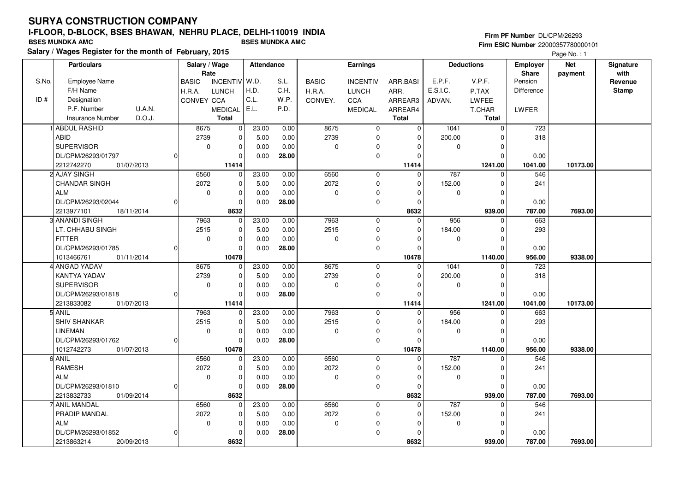**Salary / Wages Register for the month of February, 2015 BSES MUNDKA AMC BSES MUNDKA AMC**

#### **Firm PF Number** DL/CPM/26293 **Firm ESIC Number** 22000357780000101

|       | <b>Particulars</b>                |              | Salary / Wage        |                 | Attendance |       |              | Earnings        |                |          | <b>Deductions</b> | <b>Employer</b>         | <b>Net</b> | Signature       |
|-------|-----------------------------------|--------------|----------------------|-----------------|------------|-------|--------------|-----------------|----------------|----------|-------------------|-------------------------|------------|-----------------|
| S.No. | Employee Name                     |              | Rate<br><b>BASIC</b> | <b>INCENTIV</b> | W.D.       | S.L.  | <b>BASIC</b> | <b>INCENTIV</b> | ARR.BASI       | E.P.F.   | V.P.F.            | <b>Share</b><br>Pension | payment    | with<br>Revenue |
|       | F/H Name                          |              | H.R.A.               | <b>LUNCH</b>    | H.D.       | C.H.  | H.R.A.       | <b>LUNCH</b>    | ARR.           | E.S.I.C. | P.TAX             | Difference              |            | <b>Stamp</b>    |
| ID#   | Designation                       |              | <b>CONVEY CCA</b>    |                 | C.L.       | W.P.  | CONVEY.      | CCA             | ARREAR3        | ADVAN.   | LWFEE             |                         |            |                 |
|       | P.F. Number<br>U.A.N.             |              |                      | <b>MEDICAL</b>  | E.L.       | P.D.  |              | <b>MEDICAL</b>  | ARREAR4        |          | T.CHAR            | LWFER                   |            |                 |
|       | D.O.J.<br><b>Insurance Number</b> |              |                      | <b>Total</b>    |            |       |              |                 | <b>Total</b>   |          | <b>Total</b>      |                         |            |                 |
|       | <b>ABDUL RASHID</b>               |              | 8675                 | $\mathbf 0$     | 23.00      | 0.00  | 8675         | $\mathbf 0$     | $\overline{0}$ | 1041     | $\mathbf 0$       | 723                     |            |                 |
|       | <b>ABID</b>                       |              | 2739                 | $\Omega$        | 5.00       | 0.00  | 2739         | $\mathbf 0$     | $\Omega$       | 200.00   | 0                 | 318                     |            |                 |
|       | <b>SUPERVISOR</b>                 |              | $\mathbf 0$          | $\mathbf 0$     | 0.00       | 0.00  | 0            | 0               |                | 0        | $\Omega$          |                         |            |                 |
|       | DL/CPM/26293/01797                |              |                      | $\Omega$        | 0.00       | 28.00 |              | $\mathbf 0$     | $\Omega$       |          | $\mathbf 0$       | 0.00                    |            |                 |
|       | 01/07/2013<br>2212742270          |              |                      | 11414           |            |       |              |                 | 11414          |          | 1241.00           | 1041.00                 | 10173.00   |                 |
|       | 2 AJAY SINGH                      |              | 6560                 | $\mathbf 0$     | 23.00      | 0.00  | 6560         | $\mathbf 0$     | $\mathbf 0$    | 787      | $\mathbf 0$       | 546                     |            |                 |
|       | <b>CHANDAR SINGH</b>              |              | 2072                 | $\Omega$        | 5.00       | 0.00  | 2072         | $\mathbf 0$     | $\Omega$       | 152.00   | $\Omega$          | 241                     |            |                 |
|       | <b>ALM</b>                        |              | $\mathbf 0$          | $\mathbf 0$     | 0.00       | 0.00  | 0            | $\mathbf 0$     | $\Omega$       | 0        | $\mathbf 0$       |                         |            |                 |
|       | DL/CPM/26293/02044                |              |                      | $\Omega$        | 0.00       | 28.00 |              | $\mathbf 0$     | $\Omega$       |          | $\Omega$          | 0.00                    |            |                 |
|       | 2213977101<br>18/11/2014          |              |                      | 8632            |            |       |              |                 | 8632           |          | 939.00            | 787.00                  | 7693.00    |                 |
|       | 3 ANANDI SINGH                    |              | 7963                 | 0               | 23.00      | 0.00  | 7963         | $\mathbf 0$     | 0              | 956      | 0                 | 663                     |            |                 |
|       | LT. CHHABU SINGH                  |              | 2515                 | $\Omega$        | 5.00       | 0.00  | 2515         | $\mathbf 0$     | $\Omega$       | 184.00   | $\Omega$          | 293                     |            |                 |
|       | <b>FITTER</b>                     |              | 0                    | $\mathbf 0$     | 0.00       | 0.00  | 0            | $\mathbf 0$     | $\Omega$       | 0        | $\mathbf 0$       |                         |            |                 |
|       | DL/CPM/26293/01785                |              |                      | $\Omega$        | 0.00       | 28.00 |              | $\mathbf 0$     | $\Omega$       |          | $\Omega$          | 0.00                    |            |                 |
|       | 1013466761<br>01/11/2014          |              |                      | 10478           |            |       |              |                 | 10478          |          | 1140.00           | 956.00                  | 9338.00    |                 |
|       | <b>ANGAD YADAV</b>                |              | 8675                 | $\Omega$        | 23.00      | 0.00  | 8675         | $\mathbf 0$     | 0              | 1041     | $\Omega$          | 723                     |            |                 |
|       | <b>KANTYA YADAV</b>               |              | 2739                 | $\Omega$        | 5.00       | 0.00  | 2739         | $\mathbf 0$     | $\Omega$       | 200.00   | $\Omega$          | 318                     |            |                 |
|       | <b>SUPERVISOR</b>                 |              | $\mathbf 0$          | $\Omega$        | 0.00       | 0.00  | 0            | $\mathbf 0$     | 0              | 0        | $\Omega$          |                         |            |                 |
|       | DL/CPM/26293/01818                |              |                      | $\Omega$        | 0.00       | 28.00 |              | $\mathbf 0$     | O              |          | $\Omega$          | 0.00                    |            |                 |
|       | 2213833082<br>01/07/2013          |              |                      | 11414           |            |       |              |                 | 11414          |          | 1241.00           | 1041.00                 | 10173.00   |                 |
|       | 5 ANIL                            |              | 7963                 | $\Omega$        | 23.00      | 0.00  | 7963         | $\mathbf 0$     | $\Omega$       | 956      | $\Omega$          | 663                     |            |                 |
|       | <b>SHIV SHANKAR</b>               |              | 2515                 | $\Omega$        | 5.00       | 0.00  | 2515         | $\mathbf 0$     | $\Omega$       | 184.00   | $\Omega$          | 293                     |            |                 |
|       | <b>LINEMAN</b>                    |              | $\mathbf 0$          | $\mathbf 0$     | 0.00       | 0.00  | 0            | 0               | $\Omega$       | 0        | 0                 |                         |            |                 |
|       | DL/CPM/26293/01762                | $\Omega$     |                      | $\Omega$        | 0.00       | 28.00 |              | $\pmb{0}$       | $\Omega$       |          | $\Omega$          | 0.00                    |            |                 |
|       | 1012742273<br>01/07/2013          |              |                      | 10478           |            |       |              |                 | 10478          |          | 1140.00           | 956.00                  | 9338.00    |                 |
|       | 6 ANIL                            |              | 6560                 | 0               | 23.00      | 0.00  | 6560         | $\mathbf 0$     | $\Omega$       | 787      | $\Omega$          | 546                     |            |                 |
|       | <b>RAMESH</b>                     |              | 2072                 | $\mathbf 0$     | 5.00       | 0.00  | 2072         | $\mathbf 0$     | $\Omega$       | 152.00   | $\Omega$          | 241                     |            |                 |
|       | <b>ALM</b>                        |              | $\mathbf 0$          | $\mathbf 0$     | 0.00       | 0.00  | 0            | 0               | $\Omega$       | 0        | 0                 |                         |            |                 |
|       | DL/CPM/26293/01810                | <sup>0</sup> |                      | $\Omega$        | 0.00       | 28.00 |              | $\pmb{0}$       | $\Omega$       |          | $\Omega$          | 0.00                    |            |                 |
|       | 01/09/2014<br>2213832733          |              |                      | 8632            |            |       |              |                 | 8632           |          | 939.00            | 787.00                  | 7693.00    |                 |
|       | l ANIL MANDAL                     |              | 6560                 | $\Omega$        | 23.00      | 0.00  | 6560         | $\mathbf 0$     | $\Omega$       | 787      | $\Omega$          | 546                     |            |                 |
|       | PRADIP MANDAL                     |              | 2072                 | $\mathbf 0$     | 5.00       | 0.00  | 2072         | $\mathbf 0$     | $\Omega$       | 152.00   | $\Omega$          | 241                     |            |                 |
|       | <b>ALM</b>                        |              | $\mathbf 0$          | $\mathbf 0$     | 0.00       | 0.00  | 0            | 0               | $\Omega$       | 0        | $\Omega$          |                         |            |                 |
|       | DL/CPM/26293/01852                |              |                      | $\Omega$        | 0.00       | 28.00 |              | $\pmb{0}$       |                |          | $\Omega$          | 0.00                    |            |                 |
|       | 2213863214<br>20/09/2013          |              |                      | 8632            |            |       |              |                 | 8632           |          | 939.00            | 787.00                  | 7693.00    |                 |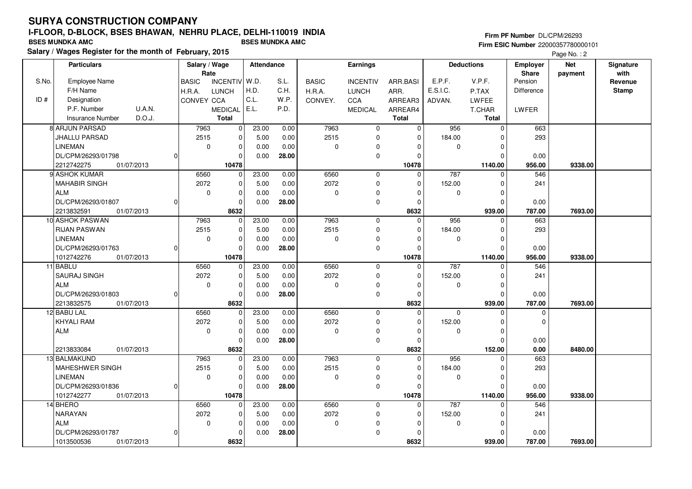**Salary / Wages Register for the month of February, 2015 BSES MUNDKA AMC BSES MUNDKA AMC**

#### **Firm PF Number** DL/CPM/26293 **Firm ESIC Number** 22000357780000101

|       | <b>Particulars</b>                |              | Salary / Wage           | <b>Attendance</b>    |       |              | Earnings        |                   |             | <b>Deductions</b>   | <b>Employer</b>   | <b>Net</b> | Signature<br>with |
|-------|-----------------------------------|--------------|-------------------------|----------------------|-------|--------------|-----------------|-------------------|-------------|---------------------|-------------------|------------|-------------------|
| S.No. | <b>Employee Name</b>              | <b>BASIC</b> | Rate<br><b>INCENTIV</b> | W.D.                 | S.L.  | <b>BASIC</b> | <b>INCENTIV</b> | ARR.BASI          | E.P.F.      | V.P.F.              | Share<br>Pension  | payment    | Revenue           |
|       | F/H Name                          | H.R.A.       | <b>LUNCH</b>            | H.D.                 | C.H.  | H.R.A.       | <b>LUNCH</b>    | ARR.              | E.S.I.C.    | P.TAX               | <b>Difference</b> |            | <b>Stamp</b>      |
| ID#   | Designation                       |              | CONVEY CCA              | C.L.                 | W.P.  | CONVEY.      | <b>CCA</b>      | ARREAR3           | ADVAN.      | LWFEE               |                   |            |                   |
|       | P.F. Number<br><b>U.A.N.</b>      |              | <b>MEDICAL</b>          | E.L.                 | P.D.  |              | <b>MEDICAL</b>  | ARREAR4           |             | T.CHAR              | LWFER             |            |                   |
|       | D.O.J.<br><b>Insurance Number</b> |              | Total                   |                      |       |              |                 | <b>Total</b>      |             | <b>Total</b>        |                   |            |                   |
|       | <b>8 ARJUN PARSAD</b>             |              | 7963                    | 0<br>23.00           | 0.00  | 7963         | $\mathbf 0$     | $\mathbf 0$       | 956         | $\mathbf 0$         | 663               |            |                   |
|       | <b>JHALLU PARSAD</b>              |              | 2515                    | 0<br>5.00            | 0.00  | 2515         | $\mathbf 0$     | $\mathbf 0$       | 184.00      | $\Omega$            | 293               |            |                   |
|       | <b>LINEMAN</b>                    |              | $\mathbf 0$             | $\mathbf 0$<br>0.00  | 0.00  | 0            | $\mathbf 0$     | $\mathbf 0$       | $\mathbf 0$ | $\Omega$            |                   |            |                   |
|       | DL/CPM/26293/01798                | $\Omega$     |                         |                      | 28.00 |              | $\mathbf 0$     | $\mathbf 0$       |             | $\Omega$            |                   |            |                   |
|       |                                   |              |                         | 0.00<br>0            |       |              |                 |                   |             |                     | 0.00              |            |                   |
|       | 2212742275<br>01/07/2013          |              | 10478                   | $\Omega$             |       | 6560         |                 | 10478<br>$\Omega$ |             | 1140.00<br>$\Omega$ | 956.00            | 9338.00    |                   |
|       | 9 ASHOK KUMAR                     |              | 6560<br>2072            | 23.00                | 0.00  | 2072         | 0               |                   | 787         |                     | 546               |            |                   |
|       | <b>MAHABIR SINGH</b>              |              |                         | 5.00<br>$\mathbf 0$  | 0.00  |              | $\mathbf 0$     | $\Omega$          | 152.00      | $\Omega$            | 241               |            |                   |
|       | <b>ALM</b>                        |              | $\mathbf 0$             | 0<br>0.00            | 0.00  | 0            | $\Omega$        | $\Omega$          | 0           | $\Omega$            |                   |            |                   |
|       | DL/CPM/26293/01807                | $\Omega$     |                         | $\mathbf 0$<br>0.00  | 28.00 |              | $\pmb{0}$       | 0                 |             | $\mathbf 0$         | 0.00              |            |                   |
|       | 2213832591<br>01/07/2013          |              | 8632                    |                      |       |              |                 | 8632              |             | 939.00              | 787.00            | 7693.00    |                   |
|       | 10 ASHOK PASWAN                   |              | 7963                    | 23.00<br>$\mathbf 0$ | 0.00  | 7963         | $\mathbf 0$     | $\mathbf 0$       | 956         | $\mathbf 0$         | 663               |            |                   |
|       | <b>RIJAN PASWAN</b>               |              | 2515                    | 0<br>5.00            | 0.00  | 2515         | $\mathbf 0$     | 0                 | 184.00      | $\Omega$            | 293               |            |                   |
|       | <b>LINEMAN</b>                    |              | $\mathbf 0$             | $\mathbf 0$<br>0.00  | 0.00  | 0            | $\mathbf 0$     | $\Omega$          | $\mathbf 0$ | $\Omega$            |                   |            |                   |
|       | DL/CPM/26293/01763                | $\Omega$     |                         | $\mathbf{0}$<br>0.00 | 28.00 |              | $\mathbf 0$     | $\Omega$          |             | $\Omega$            | 0.00              |            |                   |
|       | 1012742276<br>01/07/2013          |              | 10478                   |                      |       |              |                 | 10478             |             | 1140.00             | 956.00            | 9338.00    |                   |
|       | 11 BABLU                          |              | 6560                    | 23.00<br>$\mathbf 0$ | 0.00  | 6560         | $\pmb{0}$       | $\Omega$          | 787         | $\Omega$            | 546               |            |                   |
|       | <b>SAURAJ SINGH</b>               |              | 2072                    | $\mathbf 0$<br>5.00  | 0.00  | 2072         | $\mathbf 0$     | 0                 | 152.00      | $\Omega$            | 241               |            |                   |
|       | <b>ALM</b>                        |              | 0                       | $\mathbf 0$<br>0.00  | 0.00  | 0            | $\pmb{0}$       | $\Omega$          | 0           | $\Omega$            |                   |            |                   |
|       | DL/CPM/26293/01803                | $\Omega$     |                         | $\mathbf 0$<br>0.00  | 28.00 |              | $\mathbf 0$     | 0                 |             | $\Omega$            | 0.00              |            |                   |
|       | 2213832575<br>01/07/2013          |              | 8632                    |                      |       |              |                 | 8632              |             | 939.00              | 787.00            | 7693.00    |                   |
|       | 12 BABU LAL                       |              | 6560                    | 23.00<br>$\mathbf 0$ | 0.00  | 6560         | $\mathbf 0$     | $\mathbf 0$       | $\Omega$    | $\Omega$            | $\mathbf 0$       |            |                   |
|       | <b>KHYALI RAM</b>                 |              | 2072                    | 0<br>5.00            | 0.00  | 2072         | $\mathbf 0$     | 0                 | 152.00      | $\Omega$            | $\Omega$          |            |                   |
|       | <b>ALM</b>                        |              | $\mathbf 0$             | $\mathbf 0$<br>0.00  | 0.00  | 0            | $\mathbf 0$     | $\Omega$          | $\mathbf 0$ | $\mathbf 0$         |                   |            |                   |
|       |                                   |              |                         | $\mathbf 0$<br>0.00  | 28.00 |              | $\mathbf 0$     | $\mathbf 0$       |             | $\Omega$            | 0.00              |            |                   |
|       | 2213833084<br>01/07/2013          |              | 8632                    |                      |       |              |                 | 8632              |             | 152.00              | 0.00              | 8480.00    |                   |
|       | 13 BALMAKUND                      |              | 7963                    | 23.00<br>$\mathbf 0$ | 0.00  | 7963         | $\mathbf 0$     | $\Omega$          | 956         | $\Omega$            | 663               |            |                   |
|       | MAHESHWER SINGH                   |              | 2515                    | $\mathbf 0$<br>5.00  | 0.00  | 2515         | $\mathbf 0$     | $\Omega$          | 184.00      | $\Omega$            | 293               |            |                   |
|       | <b>LINEMAN</b>                    |              | $\mathbf 0$             | 0<br>0.00            | 0.00  | 0            | 0               | 0                 | 0           | $\Omega$            |                   |            |                   |
|       | DL/CPM/26293/01836                | $\Omega$     |                         | 0<br>0.00            | 28.00 |              | $\mathbf 0$     | $\Omega$          |             | $\Omega$            | 0.00              |            |                   |
|       | 1012742277<br>01/07/2013          |              | 10478                   |                      |       |              |                 | 10478             |             | 1140.00             | 956.00            | 9338.00    |                   |
|       | 14 BHERO                          |              | 6560                    | 23.00<br>$\Omega$    | 0.00  | 6560         | $\mathbf 0$     | $\mathbf 0$       | 787         | $\Omega$            | 546               |            |                   |
|       | <b>NARAYAN</b>                    |              | 2072                    | 5.00<br>0            | 0.00  | 2072         | 0               | 0                 | 152.00      | O                   | 241               |            |                   |
|       | <b>ALM</b>                        |              | $\mathbf 0$             | $\mathbf 0$<br>0.00  | 0.00  | 0            | $\mathbf 0$     | $\Omega$          | 0           | $\Omega$            |                   |            |                   |
|       | DL/CPM/26293/01787                | $\Omega$     |                         | 0<br>0.00            | 28.00 |              | $\pmb{0}$       | $\Omega$          |             | $\Omega$            | 0.00              |            |                   |
|       | 1013500536<br>01/07/2013          |              | 8632                    |                      |       |              |                 | 8632              |             | 939.00              | 787.00            | 7693.00    |                   |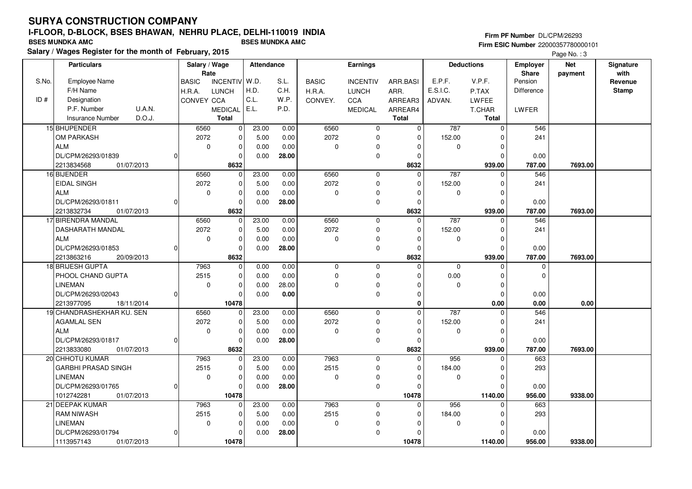# **SURYA CONSTRUCTION COMPANY**

## **I-FLOOR, D-BLOCK, BSES BHAWAN, NEHRU PLACE, DELHI-110019 INDIA**

**Salary / Wages Register for the month of February, 2015 BSES MUNDKA AMC BSES MUNDKA AMC**

#### **Firm PF Number** DL/CPM/26293 **Firm ESIC Number** 22000357780000101

|       | <b>Particulars</b>         |          | Salary / Wage        |                 | Attendance |       |              | <b>Earnings</b>     |              |             | <b>Deductions</b> | <b>Employer</b>         | <b>Net</b> | Signature       |
|-------|----------------------------|----------|----------------------|-----------------|------------|-------|--------------|---------------------|--------------|-------------|-------------------|-------------------------|------------|-----------------|
| S.No. | Employee Name              |          | Rate<br><b>BASIC</b> | <b>INCENTIV</b> | W.D.       | S.L.  | <b>BASIC</b> | <b>INCENTIV</b>     | ARR.BASI     | E.P.F.      | V.P.F.            | <b>Share</b><br>Pension | payment    | with<br>Revenue |
|       | F/H Name                   |          | H.R.A.               | <b>LUNCH</b>    | H.D.       | C.H.  | H.R.A.       | <b>LUNCH</b>        | ARR.         | E.S.I.C.    | P.TAX             | Difference              |            | <b>Stamp</b>    |
| ID#   | Designation                |          | CONVEY CCA           |                 | C.L.       | W.P.  | CONVEY.      | CCA                 | ARREAR3      | ADVAN.      | <b>LWFEE</b>      |                         |            |                 |
|       | P.F. Number<br>U.A.N.      |          |                      | <b>MEDICAL</b>  | E.L.       | P.D.  |              | <b>MEDICAL</b>      | ARREAR4      |             | T.CHAR            | LWFER                   |            |                 |
|       | D.O.J.<br>Insurance Number |          |                      | <b>Total</b>    |            |       |              |                     | <b>Total</b> |             | <b>Total</b>      |                         |            |                 |
|       | 15 BHUPENDER               |          | 6560                 | $\pmb{0}$       | 23.00      | 0.00  | 6560         | $\mathbf 0$         | $\Omega$     | 787         | $\Omega$          | 546                     |            |                 |
|       | OM PARKASH                 |          | 2072                 | $\pmb{0}$       | 5.00       | 0.00  | 2072         | $\mathbf 0$         | $\mathbf 0$  | 152.00      | $\Omega$          | 241                     |            |                 |
|       | <b>ALM</b>                 |          | $\mathbf 0$          | $\pmb{0}$       | 0.00       | 0.00  | $\pmb{0}$    | 0                   | $\Omega$     | $\mathbf 0$ | $\Omega$          |                         |            |                 |
|       | DL/CPM/26293/01839         |          |                      | $\Omega$        | 0.00       | 28.00 |              | $\mathbf 0$         | $\Omega$     |             | $\Omega$          | 0.00                    |            |                 |
|       | 2213834568<br>01/07/2013   |          |                      | 8632            |            |       |              |                     | 8632         |             | 939.00            | 787.00                  | 7693.00    |                 |
|       | 16 BIJENDER                |          | 6560                 | $\mathbf 0$     | 23.00      | 0.00  | 6560         | 0                   | $\Omega$     | 787         | $\Omega$          | 546                     |            |                 |
|       | <b>EIDAL SINGH</b>         |          | 2072                 | $\pmb{0}$       | 5.00       | 0.00  | 2072         | 0                   | $\Omega$     | 152.00      | $\Omega$          | 241                     |            |                 |
|       | <b>ALM</b>                 |          | $\mathbf 0$          | $\mathbf 0$     | 0.00       | 0.00  | 0            | 0                   | $\Omega$     | 0           | $\Omega$          |                         |            |                 |
|       | DL/CPM/26293/01811         |          |                      | $\Omega$        | 0.00       | 28.00 |              | 0                   | $\Omega$     |             | $\Omega$          | 0.00                    |            |                 |
|       | 2213832734<br>01/07/2013   |          |                      | 8632            |            |       |              |                     | 8632         |             | 939.00            | 787.00                  | 7693.00    |                 |
|       | 17 BIRENDRA MANDAL         |          | 6560                 | $\mathbf 0$     | 23.00      | 0.00  | 6560         | $\mathbf 0$         | $\mathbf 0$  | 787         | $\Omega$          | 546                     |            |                 |
|       | <b>DASHARATH MANDAL</b>    |          | 2072                 | $\pmb{0}$       | 5.00       | 0.00  | 2072         | 0                   | $\Omega$     | 152.00      | $\Omega$          | 241                     |            |                 |
|       | <b>ALM</b>                 |          | $\mathbf 0$          | $\mathbf 0$     | 0.00       | 0.00  | $\pmb{0}$    | 0                   | $\Omega$     | 0           | $\Omega$          |                         |            |                 |
|       | DL/CPM/26293/01853         | ŋ        |                      | $\Omega$        | 0.00       | 28.00 |              | $\mathbf 0$         | $\Omega$     |             | $\Omega$          | 0.00                    |            |                 |
|       | 2213863216<br>20/09/2013   |          |                      | 8632            |            |       |              |                     | 8632         |             | 939.00            | 787.00                  | 7693.00    |                 |
|       | 18 BRIJESH GUPTA           |          | 7963                 | $\pmb{0}$       | 0.00       | 0.00  | 0            | $\mathbf 0$         | $\Omega$     | $\Omega$    | $\Omega$          | $\mathbf 0$             |            |                 |
|       | PHOOL CHAND GUPTA          |          | 2515                 | $\pmb{0}$       | 0.00       | 0.00  | $\pmb{0}$    | $\mathsf{O}\xspace$ | $\Omega$     | 0.00        | $\Omega$          | $\Omega$                |            |                 |
|       | <b>LINEMAN</b>             |          | $\mathbf 0$          | $\mathbf 0$     | 0.00       | 28.00 | $\mathbf 0$  | 0                   | $\Omega$     | $\mathbf 0$ | $\Omega$          |                         |            |                 |
|       | DL/CPM/26293/02043         | $\Omega$ |                      | $\mathbf 0$     | 0.00       | 0.00  |              | 0                   | $\Omega$     |             | $\Omega$          | 0.00                    |            |                 |
|       | 2213977095<br>18/11/2014   |          |                      | 10478           |            |       |              |                     | $\bf{0}$     |             | 0.00              | 0.00                    | 0.00       |                 |
|       | 19 CHANDRASHEKHAR KU. SEN  |          | 6560                 | 0               | 23.00      | 0.00  | 6560         | $\mathbf 0$         | $\Omega$     | 787         |                   | 546                     |            |                 |
|       | <b>AGAMLAL SEN</b>         |          | 2072                 | 0               | 5.00       | 0.00  | 2072         | 0                   | $\Omega$     | 152.00      | O                 | 241                     |            |                 |
|       | <b>ALM</b>                 |          | $\mathbf 0$          | $\mathbf 0$     | 0.00       | 0.00  | $\mathbf 0$  | 0                   | $\Omega$     | $\mathbf 0$ | $\Omega$          |                         |            |                 |
|       | DL/CPM/26293/01817         | ŋ        |                      | $\mathbf 0$     | 0.00       | 28.00 |              | $\mathbf 0$         | $\Omega$     |             | $\Omega$          | 0.00                    |            |                 |
|       | 2213833080<br>01/07/2013   |          |                      | 8632            |            |       |              |                     | 8632         |             | 939.00            | 787.00                  | 7693.00    |                 |
|       | 20 CHHOTU KUMAR            |          | 7963                 | 0               | 23.00      | 0.00  | 7963         | $\mathbf 0$         | $\Omega$     | 956         | $\Omega$          | 663                     |            |                 |
|       | <b>GARBHI PRASAD SINGH</b> |          | 2515                 | 0               | 5.00       | 0.00  | 2515         | $\mathbf 0$         | $\Omega$     | 184.00      | $\Omega$          | 293                     |            |                 |
|       | <b>LINEMAN</b>             |          | $\Omega$             | $\pmb{0}$       | 0.00       | 0.00  | $\mathbf 0$  | 0                   | <sup>0</sup> | $\mathbf 0$ | ŋ                 |                         |            |                 |
|       | DL/CPM/26293/01765         | $\Omega$ |                      | $\Omega$        | 0.00       | 28.00 |              | 0                   | $\Omega$     |             | $\Omega$          | 0.00                    |            |                 |
|       | 01/07/2013<br>1012742281   |          |                      | 10478           |            |       |              |                     | 10478        |             | 1140.00           | 956.00                  | 9338.00    |                 |
|       | 21 DEEPAK KUMAR            |          | 7963                 | $\mathbf 0$     | 23.00      | 0.00  | 7963         | $\mathbf 0$         | $\Omega$     | 956         | O                 | 663                     |            |                 |
|       | <b>RAM NIWASH</b>          |          | 2515                 | 0               | 5.00       | 0.00  | 2515         | 0                   | $\Omega$     | 184.00      | n                 | 293                     |            |                 |
|       | <b>LINEMAN</b>             |          | $\mathbf 0$          | $\pmb{0}$       | 0.00       | 0.00  | $\pmb{0}$    | $\Omega$            | <sup>0</sup> | $\mathbf 0$ | ŋ                 |                         |            |                 |
|       | DL/CPM/26293/01794         |          |                      | $\Omega$        | 0.00       | 28.00 |              | 0                   |              |             |                   | 0.00                    |            |                 |
|       | 1113957143<br>01/07/2013   |          |                      | 10478           |            |       |              |                     | 10478        |             | 1140.00           | 956.00                  | 9338.00    |                 |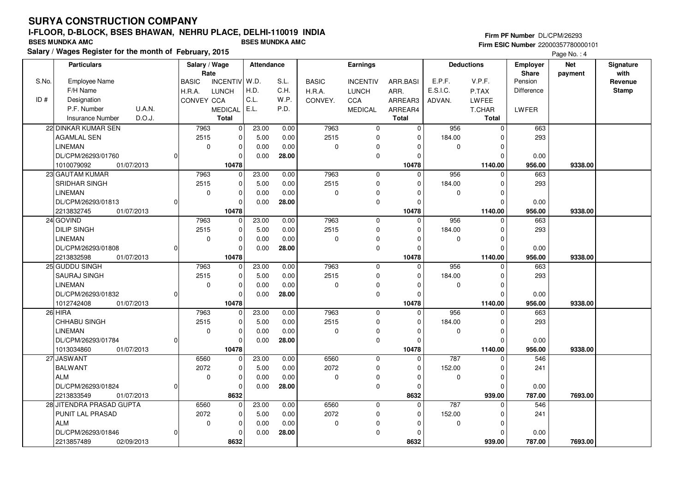**Salary / Wages Register for the month of February, 2015 BSES MUNDKA AMC BSES MUNDKA AMC**

#### **Firm PF Number** DL/CPM/26293 **Firm ESIC Number** 22000357780000101

| Rate<br>E.P.F.<br>V.P.F.<br>S.No.<br>Employee Name<br>  W.D.<br>S.L.<br>Pension<br><b>INCENTIV</b><br><b>BASIC</b><br><b>INCENTIV</b><br>ARR.BASI<br><b>BASIC</b><br>Revenue<br>H.D.<br>E.S.I.C.<br>F/H Name<br>C.H.<br>Difference<br>H.R.A.<br><b>LUNCH</b><br>H.R.A.<br><b>LUNCH</b><br>ARR.<br><b>Stamp</b><br>P.TAX<br>C.L.<br>ID#<br>W.P.<br>Designation<br>CONVEY CCA<br><b>CCA</b><br>CONVEY.<br>ARREAR3<br>ADVAN.<br><b>LWFEE</b><br>E.L.<br>P.F. Number<br><b>U.A.N.</b><br>P.D.<br><b>MEDICAL</b><br>ARREAR4<br>LWFER<br><b>MEDICAL</b><br>T.CHAR<br>D.O.J.<br><b>Total</b><br><b>Total</b><br><b>Insurance Number</b><br><b>Total</b><br>22 DINKAR KUMAR SEN<br>7963<br>23.00<br>0.00<br>7963<br>956<br>663<br>0<br>$\mathbf 0$<br>$\overline{0}$<br>$\mathbf 0$<br>2515<br>2515<br>293<br><b>AGAMLAL SEN</b><br>$\Omega$<br>5.00<br>0.00<br>$\mathbf 0$<br>184.00<br>$\Omega$<br>$\Omega$<br><b>LINEMAN</b><br>$\mathbf 0$<br>0.00<br>0<br>$\mathbf 0$<br>0.00<br>$\mathbf 0$<br>0<br>$\Omega$<br>$\mathbf 0$<br>DL/CPM/26293/01760<br>$\Omega$<br>0.00<br>28.00<br>0.00<br>$\Omega$<br>$\Omega$<br>01/07/2013<br>10478<br>10478<br>1140.00<br>956.00<br>1010079092<br>9338.00<br>7963<br>956<br>23 GAUTAM KUMAR<br>7963<br>23.00<br>0.00<br>$\mathbf 0$<br>663<br>0<br>0<br>$\mathbf 0$<br>2515<br><b>SRIDHAR SINGH</b><br>2515<br>$\Omega$<br>0.00<br>$\mathbf 0$<br>184.00<br>293<br>5.00<br>$\Omega$<br>$\Omega$<br><b>LINEMAN</b><br>$\mathbf 0$<br>$\mathbf 0$<br>0.00<br>0.00<br>0<br>$\mathbf 0$<br>0<br>$\Omega$<br>$\Omega$<br>DL/CPM/26293/01813<br>0.00<br>28.00<br>$\mathbf 0$<br>0.00<br>$\Omega$<br>$\Omega$<br>$\Omega$<br>2213832745<br>10478<br>10478<br>1140.00<br>956.00<br>9338.00<br>01/07/2013<br>24 GOVIND<br>23.00<br>0.00<br>7963<br>956<br>663<br>7963<br>$\mathbf 0$<br>0<br>$\Omega$<br>0<br><b>DILIP SINGH</b><br>2515<br>2515<br>$\Omega$<br>5.00<br>0.00<br>$\mathbf 0$<br>184.00<br>293<br>$\Omega$<br>$\Omega$<br><b>LINEMAN</b><br>$\mathbf 0$<br>0.00<br>0<br>0<br>0.00<br>$\mathbf 0$<br>0<br>$\mathbf 0$<br>$\Omega$<br>DL/CPM/26293/01808<br>0.00<br>28.00<br>$\mathbf 0$<br>$\mathbf 0$<br>$\Omega$<br>0.00<br>$\Omega$<br>2213832598<br>10478<br>10478<br>1140.00<br>956.00<br>01/07/2013<br>9338.00<br>25 GUDDU SINGH<br>23.00<br>0.00<br>7963<br>956<br>663<br>7963<br>$\mathbf 0$<br>$\Omega$<br>$\Omega$<br>$\Omega$<br>2515<br>SAURAJ SINGH<br>2515<br>$\Omega$<br>5.00<br>0.00<br>$\mathbf 0$<br>184.00<br>293<br>$\Omega$<br>$\mathbf 0$<br><b>LINEMAN</b><br>$\mathbf 0$<br>$\mathbf 0$<br>0.00<br>0.00<br>0<br>$\mathbf 0$<br>0<br>$\Omega$<br>$\Omega$<br>DL/CPM/26293/01832<br>0.00<br>28.00<br>$\mathbf 0$<br>$\Omega$<br>$\Omega$<br>0.00<br>$\Omega$<br>1012742408<br>10478<br>1140.00<br>956.00<br>9338.00<br>01/07/2013<br>10478<br>7963<br>$26$ HIRA<br>7963<br>23.00<br>0.00<br>956<br>$\Omega$<br>$\mathbf 0$<br>$\Omega$<br>$\Omega$<br>663<br>2515<br>CHHABU SINGH<br>2515<br>5.00<br>0.00<br>$\mathbf 0$<br>184.00<br>293<br>$\Omega$<br>$\Omega$<br>$\Omega$<br>0.00<br><b>LINEMAN</b><br>$\mathbf 0$<br>0<br>0.00<br>0<br>0<br>0<br>0<br>$\Omega$<br>$\pmb{0}$<br>DL/CPM/26293/01784<br>0.00<br>28.00<br>$\Omega$<br>0.00<br>$\Omega$<br>$\Omega$<br>$\Omega$<br>01/07/2013<br>10478<br>956.00<br>1013034860<br>10478<br>1140.00<br>9338.00<br>27 JASWANT<br>6560<br>6560<br>787<br>23.00<br>0.00<br>$\mathbf 0$<br>546<br>$\Omega$<br>$\Omega$<br>$\Omega$<br>2072<br>2072<br>$\mathbf 0$<br>152.00<br><b>BALWANT</b><br>5.00<br>0.00<br>$\mathbf 0$<br>241<br>$\Omega$<br>$\Omega$<br><b>ALM</b><br>$\mathbf 0$<br>$\mathbf 0$<br>0.00<br>0.00<br>0<br>0<br>0<br>0<br>$\Omega$<br>DL/CPM/26293/01824<br>28.00<br>$\mathbf 0$<br>0.00<br>0.00<br>$\Omega$<br>$\Omega$<br>$\Omega$<br><sup>0</sup><br>8632<br>787.00<br>2213833549<br>01/07/2013<br>8632<br>939.00<br>7693.00<br>28 JITENDRA PRASAD GUPTA<br>6560<br>$\Omega$<br>23.00<br>0.00<br>6560<br>$\mathbf 0$<br>$\Omega$<br>787<br>546<br>$\Omega$<br>2072<br>2072<br>PUNIT LAL PRASAD<br>0.00<br>152.00<br>$\mathbf 0$<br>5.00<br>$\mathbf 0$<br>241<br>$\Omega$<br>0<br><b>ALM</b><br>$\mathbf 0$<br>$\mathbf 0$<br>0.00<br>0.00<br>$\mathbf 0$<br>$\mathbf 0$<br>0<br>$\Omega$<br>0 | <b>Particulars</b> | Salary / Wage | Attendance |  | Earnings |  | <b>Deductions</b> | <b>Employer</b> | <b>Net</b> | Signature |
|------------------------------------------------------------------------------------------------------------------------------------------------------------------------------------------------------------------------------------------------------------------------------------------------------------------------------------------------------------------------------------------------------------------------------------------------------------------------------------------------------------------------------------------------------------------------------------------------------------------------------------------------------------------------------------------------------------------------------------------------------------------------------------------------------------------------------------------------------------------------------------------------------------------------------------------------------------------------------------------------------------------------------------------------------------------------------------------------------------------------------------------------------------------------------------------------------------------------------------------------------------------------------------------------------------------------------------------------------------------------------------------------------------------------------------------------------------------------------------------------------------------------------------------------------------------------------------------------------------------------------------------------------------------------------------------------------------------------------------------------------------------------------------------------------------------------------------------------------------------------------------------------------------------------------------------------------------------------------------------------------------------------------------------------------------------------------------------------------------------------------------------------------------------------------------------------------------------------------------------------------------------------------------------------------------------------------------------------------------------------------------------------------------------------------------------------------------------------------------------------------------------------------------------------------------------------------------------------------------------------------------------------------------------------------------------------------------------------------------------------------------------------------------------------------------------------------------------------------------------------------------------------------------------------------------------------------------------------------------------------------------------------------------------------------------------------------------------------------------------------------------------------------------------------------------------------------------------------------------------------------------------------------------------------------------------------------------------------------------------------------------------------------------------------------------------------------------------------------------------------------------------------------------------------------------------------------------------------------------------------------------------------------------------------------------------------------------------------------------------------------------------------------------------------------------------------------------------------------------------------------------------------------------------------------------------------------------------------------------------------------------------------------------------------------------------------------------------------------------------------------------------------------------------------------------------------------------------------------|--------------------|---------------|------------|--|----------|--|-------------------|-----------------|------------|-----------|
|                                                                                                                                                                                                                                                                                                                                                                                                                                                                                                                                                                                                                                                                                                                                                                                                                                                                                                                                                                                                                                                                                                                                                                                                                                                                                                                                                                                                                                                                                                                                                                                                                                                                                                                                                                                                                                                                                                                                                                                                                                                                                                                                                                                                                                                                                                                                                                                                                                                                                                                                                                                                                                                                                                                                                                                                                                                                                                                                                                                                                                                                                                                                                                                                                                                                                                                                                                                                                                                                                                                                                                                                                                                                                                                                                                                                                                                                                                                                                                                                                                                                                                                                                                                                                              |                    |               |            |  |          |  |                   | <b>Share</b>    | payment    | with      |
|                                                                                                                                                                                                                                                                                                                                                                                                                                                                                                                                                                                                                                                                                                                                                                                                                                                                                                                                                                                                                                                                                                                                                                                                                                                                                                                                                                                                                                                                                                                                                                                                                                                                                                                                                                                                                                                                                                                                                                                                                                                                                                                                                                                                                                                                                                                                                                                                                                                                                                                                                                                                                                                                                                                                                                                                                                                                                                                                                                                                                                                                                                                                                                                                                                                                                                                                                                                                                                                                                                                                                                                                                                                                                                                                                                                                                                                                                                                                                                                                                                                                                                                                                                                                                              |                    |               |            |  |          |  |                   |                 |            |           |
|                                                                                                                                                                                                                                                                                                                                                                                                                                                                                                                                                                                                                                                                                                                                                                                                                                                                                                                                                                                                                                                                                                                                                                                                                                                                                                                                                                                                                                                                                                                                                                                                                                                                                                                                                                                                                                                                                                                                                                                                                                                                                                                                                                                                                                                                                                                                                                                                                                                                                                                                                                                                                                                                                                                                                                                                                                                                                                                                                                                                                                                                                                                                                                                                                                                                                                                                                                                                                                                                                                                                                                                                                                                                                                                                                                                                                                                                                                                                                                                                                                                                                                                                                                                                                              |                    |               |            |  |          |  |                   |                 |            |           |
|                                                                                                                                                                                                                                                                                                                                                                                                                                                                                                                                                                                                                                                                                                                                                                                                                                                                                                                                                                                                                                                                                                                                                                                                                                                                                                                                                                                                                                                                                                                                                                                                                                                                                                                                                                                                                                                                                                                                                                                                                                                                                                                                                                                                                                                                                                                                                                                                                                                                                                                                                                                                                                                                                                                                                                                                                                                                                                                                                                                                                                                                                                                                                                                                                                                                                                                                                                                                                                                                                                                                                                                                                                                                                                                                                                                                                                                                                                                                                                                                                                                                                                                                                                                                                              |                    |               |            |  |          |  |                   |                 |            |           |
|                                                                                                                                                                                                                                                                                                                                                                                                                                                                                                                                                                                                                                                                                                                                                                                                                                                                                                                                                                                                                                                                                                                                                                                                                                                                                                                                                                                                                                                                                                                                                                                                                                                                                                                                                                                                                                                                                                                                                                                                                                                                                                                                                                                                                                                                                                                                                                                                                                                                                                                                                                                                                                                                                                                                                                                                                                                                                                                                                                                                                                                                                                                                                                                                                                                                                                                                                                                                                                                                                                                                                                                                                                                                                                                                                                                                                                                                                                                                                                                                                                                                                                                                                                                                                              |                    |               |            |  |          |  |                   |                 |            |           |
|                                                                                                                                                                                                                                                                                                                                                                                                                                                                                                                                                                                                                                                                                                                                                                                                                                                                                                                                                                                                                                                                                                                                                                                                                                                                                                                                                                                                                                                                                                                                                                                                                                                                                                                                                                                                                                                                                                                                                                                                                                                                                                                                                                                                                                                                                                                                                                                                                                                                                                                                                                                                                                                                                                                                                                                                                                                                                                                                                                                                                                                                                                                                                                                                                                                                                                                                                                                                                                                                                                                                                                                                                                                                                                                                                                                                                                                                                                                                                                                                                                                                                                                                                                                                                              |                    |               |            |  |          |  |                   |                 |            |           |
|                                                                                                                                                                                                                                                                                                                                                                                                                                                                                                                                                                                                                                                                                                                                                                                                                                                                                                                                                                                                                                                                                                                                                                                                                                                                                                                                                                                                                                                                                                                                                                                                                                                                                                                                                                                                                                                                                                                                                                                                                                                                                                                                                                                                                                                                                                                                                                                                                                                                                                                                                                                                                                                                                                                                                                                                                                                                                                                                                                                                                                                                                                                                                                                                                                                                                                                                                                                                                                                                                                                                                                                                                                                                                                                                                                                                                                                                                                                                                                                                                                                                                                                                                                                                                              |                    |               |            |  |          |  |                   |                 |            |           |
|                                                                                                                                                                                                                                                                                                                                                                                                                                                                                                                                                                                                                                                                                                                                                                                                                                                                                                                                                                                                                                                                                                                                                                                                                                                                                                                                                                                                                                                                                                                                                                                                                                                                                                                                                                                                                                                                                                                                                                                                                                                                                                                                                                                                                                                                                                                                                                                                                                                                                                                                                                                                                                                                                                                                                                                                                                                                                                                                                                                                                                                                                                                                                                                                                                                                                                                                                                                                                                                                                                                                                                                                                                                                                                                                                                                                                                                                                                                                                                                                                                                                                                                                                                                                                              |                    |               |            |  |          |  |                   |                 |            |           |
|                                                                                                                                                                                                                                                                                                                                                                                                                                                                                                                                                                                                                                                                                                                                                                                                                                                                                                                                                                                                                                                                                                                                                                                                                                                                                                                                                                                                                                                                                                                                                                                                                                                                                                                                                                                                                                                                                                                                                                                                                                                                                                                                                                                                                                                                                                                                                                                                                                                                                                                                                                                                                                                                                                                                                                                                                                                                                                                                                                                                                                                                                                                                                                                                                                                                                                                                                                                                                                                                                                                                                                                                                                                                                                                                                                                                                                                                                                                                                                                                                                                                                                                                                                                                                              |                    |               |            |  |          |  |                   |                 |            |           |
|                                                                                                                                                                                                                                                                                                                                                                                                                                                                                                                                                                                                                                                                                                                                                                                                                                                                                                                                                                                                                                                                                                                                                                                                                                                                                                                                                                                                                                                                                                                                                                                                                                                                                                                                                                                                                                                                                                                                                                                                                                                                                                                                                                                                                                                                                                                                                                                                                                                                                                                                                                                                                                                                                                                                                                                                                                                                                                                                                                                                                                                                                                                                                                                                                                                                                                                                                                                                                                                                                                                                                                                                                                                                                                                                                                                                                                                                                                                                                                                                                                                                                                                                                                                                                              |                    |               |            |  |          |  |                   |                 |            |           |
|                                                                                                                                                                                                                                                                                                                                                                                                                                                                                                                                                                                                                                                                                                                                                                                                                                                                                                                                                                                                                                                                                                                                                                                                                                                                                                                                                                                                                                                                                                                                                                                                                                                                                                                                                                                                                                                                                                                                                                                                                                                                                                                                                                                                                                                                                                                                                                                                                                                                                                                                                                                                                                                                                                                                                                                                                                                                                                                                                                                                                                                                                                                                                                                                                                                                                                                                                                                                                                                                                                                                                                                                                                                                                                                                                                                                                                                                                                                                                                                                                                                                                                                                                                                                                              |                    |               |            |  |          |  |                   |                 |            |           |
|                                                                                                                                                                                                                                                                                                                                                                                                                                                                                                                                                                                                                                                                                                                                                                                                                                                                                                                                                                                                                                                                                                                                                                                                                                                                                                                                                                                                                                                                                                                                                                                                                                                                                                                                                                                                                                                                                                                                                                                                                                                                                                                                                                                                                                                                                                                                                                                                                                                                                                                                                                                                                                                                                                                                                                                                                                                                                                                                                                                                                                                                                                                                                                                                                                                                                                                                                                                                                                                                                                                                                                                                                                                                                                                                                                                                                                                                                                                                                                                                                                                                                                                                                                                                                              |                    |               |            |  |          |  |                   |                 |            |           |
|                                                                                                                                                                                                                                                                                                                                                                                                                                                                                                                                                                                                                                                                                                                                                                                                                                                                                                                                                                                                                                                                                                                                                                                                                                                                                                                                                                                                                                                                                                                                                                                                                                                                                                                                                                                                                                                                                                                                                                                                                                                                                                                                                                                                                                                                                                                                                                                                                                                                                                                                                                                                                                                                                                                                                                                                                                                                                                                                                                                                                                                                                                                                                                                                                                                                                                                                                                                                                                                                                                                                                                                                                                                                                                                                                                                                                                                                                                                                                                                                                                                                                                                                                                                                                              |                    |               |            |  |          |  |                   |                 |            |           |
|                                                                                                                                                                                                                                                                                                                                                                                                                                                                                                                                                                                                                                                                                                                                                                                                                                                                                                                                                                                                                                                                                                                                                                                                                                                                                                                                                                                                                                                                                                                                                                                                                                                                                                                                                                                                                                                                                                                                                                                                                                                                                                                                                                                                                                                                                                                                                                                                                                                                                                                                                                                                                                                                                                                                                                                                                                                                                                                                                                                                                                                                                                                                                                                                                                                                                                                                                                                                                                                                                                                                                                                                                                                                                                                                                                                                                                                                                                                                                                                                                                                                                                                                                                                                                              |                    |               |            |  |          |  |                   |                 |            |           |
|                                                                                                                                                                                                                                                                                                                                                                                                                                                                                                                                                                                                                                                                                                                                                                                                                                                                                                                                                                                                                                                                                                                                                                                                                                                                                                                                                                                                                                                                                                                                                                                                                                                                                                                                                                                                                                                                                                                                                                                                                                                                                                                                                                                                                                                                                                                                                                                                                                                                                                                                                                                                                                                                                                                                                                                                                                                                                                                                                                                                                                                                                                                                                                                                                                                                                                                                                                                                                                                                                                                                                                                                                                                                                                                                                                                                                                                                                                                                                                                                                                                                                                                                                                                                                              |                    |               |            |  |          |  |                   |                 |            |           |
|                                                                                                                                                                                                                                                                                                                                                                                                                                                                                                                                                                                                                                                                                                                                                                                                                                                                                                                                                                                                                                                                                                                                                                                                                                                                                                                                                                                                                                                                                                                                                                                                                                                                                                                                                                                                                                                                                                                                                                                                                                                                                                                                                                                                                                                                                                                                                                                                                                                                                                                                                                                                                                                                                                                                                                                                                                                                                                                                                                                                                                                                                                                                                                                                                                                                                                                                                                                                                                                                                                                                                                                                                                                                                                                                                                                                                                                                                                                                                                                                                                                                                                                                                                                                                              |                    |               |            |  |          |  |                   |                 |            |           |
|                                                                                                                                                                                                                                                                                                                                                                                                                                                                                                                                                                                                                                                                                                                                                                                                                                                                                                                                                                                                                                                                                                                                                                                                                                                                                                                                                                                                                                                                                                                                                                                                                                                                                                                                                                                                                                                                                                                                                                                                                                                                                                                                                                                                                                                                                                                                                                                                                                                                                                                                                                                                                                                                                                                                                                                                                                                                                                                                                                                                                                                                                                                                                                                                                                                                                                                                                                                                                                                                                                                                                                                                                                                                                                                                                                                                                                                                                                                                                                                                                                                                                                                                                                                                                              |                    |               |            |  |          |  |                   |                 |            |           |
|                                                                                                                                                                                                                                                                                                                                                                                                                                                                                                                                                                                                                                                                                                                                                                                                                                                                                                                                                                                                                                                                                                                                                                                                                                                                                                                                                                                                                                                                                                                                                                                                                                                                                                                                                                                                                                                                                                                                                                                                                                                                                                                                                                                                                                                                                                                                                                                                                                                                                                                                                                                                                                                                                                                                                                                                                                                                                                                                                                                                                                                                                                                                                                                                                                                                                                                                                                                                                                                                                                                                                                                                                                                                                                                                                                                                                                                                                                                                                                                                                                                                                                                                                                                                                              |                    |               |            |  |          |  |                   |                 |            |           |
|                                                                                                                                                                                                                                                                                                                                                                                                                                                                                                                                                                                                                                                                                                                                                                                                                                                                                                                                                                                                                                                                                                                                                                                                                                                                                                                                                                                                                                                                                                                                                                                                                                                                                                                                                                                                                                                                                                                                                                                                                                                                                                                                                                                                                                                                                                                                                                                                                                                                                                                                                                                                                                                                                                                                                                                                                                                                                                                                                                                                                                                                                                                                                                                                                                                                                                                                                                                                                                                                                                                                                                                                                                                                                                                                                                                                                                                                                                                                                                                                                                                                                                                                                                                                                              |                    |               |            |  |          |  |                   |                 |            |           |
|                                                                                                                                                                                                                                                                                                                                                                                                                                                                                                                                                                                                                                                                                                                                                                                                                                                                                                                                                                                                                                                                                                                                                                                                                                                                                                                                                                                                                                                                                                                                                                                                                                                                                                                                                                                                                                                                                                                                                                                                                                                                                                                                                                                                                                                                                                                                                                                                                                                                                                                                                                                                                                                                                                                                                                                                                                                                                                                                                                                                                                                                                                                                                                                                                                                                                                                                                                                                                                                                                                                                                                                                                                                                                                                                                                                                                                                                                                                                                                                                                                                                                                                                                                                                                              |                    |               |            |  |          |  |                   |                 |            |           |
|                                                                                                                                                                                                                                                                                                                                                                                                                                                                                                                                                                                                                                                                                                                                                                                                                                                                                                                                                                                                                                                                                                                                                                                                                                                                                                                                                                                                                                                                                                                                                                                                                                                                                                                                                                                                                                                                                                                                                                                                                                                                                                                                                                                                                                                                                                                                                                                                                                                                                                                                                                                                                                                                                                                                                                                                                                                                                                                                                                                                                                                                                                                                                                                                                                                                                                                                                                                                                                                                                                                                                                                                                                                                                                                                                                                                                                                                                                                                                                                                                                                                                                                                                                                                                              |                    |               |            |  |          |  |                   |                 |            |           |
|                                                                                                                                                                                                                                                                                                                                                                                                                                                                                                                                                                                                                                                                                                                                                                                                                                                                                                                                                                                                                                                                                                                                                                                                                                                                                                                                                                                                                                                                                                                                                                                                                                                                                                                                                                                                                                                                                                                                                                                                                                                                                                                                                                                                                                                                                                                                                                                                                                                                                                                                                                                                                                                                                                                                                                                                                                                                                                                                                                                                                                                                                                                                                                                                                                                                                                                                                                                                                                                                                                                                                                                                                                                                                                                                                                                                                                                                                                                                                                                                                                                                                                                                                                                                                              |                    |               |            |  |          |  |                   |                 |            |           |
|                                                                                                                                                                                                                                                                                                                                                                                                                                                                                                                                                                                                                                                                                                                                                                                                                                                                                                                                                                                                                                                                                                                                                                                                                                                                                                                                                                                                                                                                                                                                                                                                                                                                                                                                                                                                                                                                                                                                                                                                                                                                                                                                                                                                                                                                                                                                                                                                                                                                                                                                                                                                                                                                                                                                                                                                                                                                                                                                                                                                                                                                                                                                                                                                                                                                                                                                                                                                                                                                                                                                                                                                                                                                                                                                                                                                                                                                                                                                                                                                                                                                                                                                                                                                                              |                    |               |            |  |          |  |                   |                 |            |           |
|                                                                                                                                                                                                                                                                                                                                                                                                                                                                                                                                                                                                                                                                                                                                                                                                                                                                                                                                                                                                                                                                                                                                                                                                                                                                                                                                                                                                                                                                                                                                                                                                                                                                                                                                                                                                                                                                                                                                                                                                                                                                                                                                                                                                                                                                                                                                                                                                                                                                                                                                                                                                                                                                                                                                                                                                                                                                                                                                                                                                                                                                                                                                                                                                                                                                                                                                                                                                                                                                                                                                                                                                                                                                                                                                                                                                                                                                                                                                                                                                                                                                                                                                                                                                                              |                    |               |            |  |          |  |                   |                 |            |           |
|                                                                                                                                                                                                                                                                                                                                                                                                                                                                                                                                                                                                                                                                                                                                                                                                                                                                                                                                                                                                                                                                                                                                                                                                                                                                                                                                                                                                                                                                                                                                                                                                                                                                                                                                                                                                                                                                                                                                                                                                                                                                                                                                                                                                                                                                                                                                                                                                                                                                                                                                                                                                                                                                                                                                                                                                                                                                                                                                                                                                                                                                                                                                                                                                                                                                                                                                                                                                                                                                                                                                                                                                                                                                                                                                                                                                                                                                                                                                                                                                                                                                                                                                                                                                                              |                    |               |            |  |          |  |                   |                 |            |           |
|                                                                                                                                                                                                                                                                                                                                                                                                                                                                                                                                                                                                                                                                                                                                                                                                                                                                                                                                                                                                                                                                                                                                                                                                                                                                                                                                                                                                                                                                                                                                                                                                                                                                                                                                                                                                                                                                                                                                                                                                                                                                                                                                                                                                                                                                                                                                                                                                                                                                                                                                                                                                                                                                                                                                                                                                                                                                                                                                                                                                                                                                                                                                                                                                                                                                                                                                                                                                                                                                                                                                                                                                                                                                                                                                                                                                                                                                                                                                                                                                                                                                                                                                                                                                                              |                    |               |            |  |          |  |                   |                 |            |           |
|                                                                                                                                                                                                                                                                                                                                                                                                                                                                                                                                                                                                                                                                                                                                                                                                                                                                                                                                                                                                                                                                                                                                                                                                                                                                                                                                                                                                                                                                                                                                                                                                                                                                                                                                                                                                                                                                                                                                                                                                                                                                                                                                                                                                                                                                                                                                                                                                                                                                                                                                                                                                                                                                                                                                                                                                                                                                                                                                                                                                                                                                                                                                                                                                                                                                                                                                                                                                                                                                                                                                                                                                                                                                                                                                                                                                                                                                                                                                                                                                                                                                                                                                                                                                                              |                    |               |            |  |          |  |                   |                 |            |           |
|                                                                                                                                                                                                                                                                                                                                                                                                                                                                                                                                                                                                                                                                                                                                                                                                                                                                                                                                                                                                                                                                                                                                                                                                                                                                                                                                                                                                                                                                                                                                                                                                                                                                                                                                                                                                                                                                                                                                                                                                                                                                                                                                                                                                                                                                                                                                                                                                                                                                                                                                                                                                                                                                                                                                                                                                                                                                                                                                                                                                                                                                                                                                                                                                                                                                                                                                                                                                                                                                                                                                                                                                                                                                                                                                                                                                                                                                                                                                                                                                                                                                                                                                                                                                                              |                    |               |            |  |          |  |                   |                 |            |           |
|                                                                                                                                                                                                                                                                                                                                                                                                                                                                                                                                                                                                                                                                                                                                                                                                                                                                                                                                                                                                                                                                                                                                                                                                                                                                                                                                                                                                                                                                                                                                                                                                                                                                                                                                                                                                                                                                                                                                                                                                                                                                                                                                                                                                                                                                                                                                                                                                                                                                                                                                                                                                                                                                                                                                                                                                                                                                                                                                                                                                                                                                                                                                                                                                                                                                                                                                                                                                                                                                                                                                                                                                                                                                                                                                                                                                                                                                                                                                                                                                                                                                                                                                                                                                                              |                    |               |            |  |          |  |                   |                 |            |           |
|                                                                                                                                                                                                                                                                                                                                                                                                                                                                                                                                                                                                                                                                                                                                                                                                                                                                                                                                                                                                                                                                                                                                                                                                                                                                                                                                                                                                                                                                                                                                                                                                                                                                                                                                                                                                                                                                                                                                                                                                                                                                                                                                                                                                                                                                                                                                                                                                                                                                                                                                                                                                                                                                                                                                                                                                                                                                                                                                                                                                                                                                                                                                                                                                                                                                                                                                                                                                                                                                                                                                                                                                                                                                                                                                                                                                                                                                                                                                                                                                                                                                                                                                                                                                                              |                    |               |            |  |          |  |                   |                 |            |           |
|                                                                                                                                                                                                                                                                                                                                                                                                                                                                                                                                                                                                                                                                                                                                                                                                                                                                                                                                                                                                                                                                                                                                                                                                                                                                                                                                                                                                                                                                                                                                                                                                                                                                                                                                                                                                                                                                                                                                                                                                                                                                                                                                                                                                                                                                                                                                                                                                                                                                                                                                                                                                                                                                                                                                                                                                                                                                                                                                                                                                                                                                                                                                                                                                                                                                                                                                                                                                                                                                                                                                                                                                                                                                                                                                                                                                                                                                                                                                                                                                                                                                                                                                                                                                                              |                    |               |            |  |          |  |                   |                 |            |           |
|                                                                                                                                                                                                                                                                                                                                                                                                                                                                                                                                                                                                                                                                                                                                                                                                                                                                                                                                                                                                                                                                                                                                                                                                                                                                                                                                                                                                                                                                                                                                                                                                                                                                                                                                                                                                                                                                                                                                                                                                                                                                                                                                                                                                                                                                                                                                                                                                                                                                                                                                                                                                                                                                                                                                                                                                                                                                                                                                                                                                                                                                                                                                                                                                                                                                                                                                                                                                                                                                                                                                                                                                                                                                                                                                                                                                                                                                                                                                                                                                                                                                                                                                                                                                                              |                    |               |            |  |          |  |                   |                 |            |           |
|                                                                                                                                                                                                                                                                                                                                                                                                                                                                                                                                                                                                                                                                                                                                                                                                                                                                                                                                                                                                                                                                                                                                                                                                                                                                                                                                                                                                                                                                                                                                                                                                                                                                                                                                                                                                                                                                                                                                                                                                                                                                                                                                                                                                                                                                                                                                                                                                                                                                                                                                                                                                                                                                                                                                                                                                                                                                                                                                                                                                                                                                                                                                                                                                                                                                                                                                                                                                                                                                                                                                                                                                                                                                                                                                                                                                                                                                                                                                                                                                                                                                                                                                                                                                                              |                    |               |            |  |          |  |                   |                 |            |           |
|                                                                                                                                                                                                                                                                                                                                                                                                                                                                                                                                                                                                                                                                                                                                                                                                                                                                                                                                                                                                                                                                                                                                                                                                                                                                                                                                                                                                                                                                                                                                                                                                                                                                                                                                                                                                                                                                                                                                                                                                                                                                                                                                                                                                                                                                                                                                                                                                                                                                                                                                                                                                                                                                                                                                                                                                                                                                                                                                                                                                                                                                                                                                                                                                                                                                                                                                                                                                                                                                                                                                                                                                                                                                                                                                                                                                                                                                                                                                                                                                                                                                                                                                                                                                                              |                    |               |            |  |          |  |                   |                 |            |           |
|                                                                                                                                                                                                                                                                                                                                                                                                                                                                                                                                                                                                                                                                                                                                                                                                                                                                                                                                                                                                                                                                                                                                                                                                                                                                                                                                                                                                                                                                                                                                                                                                                                                                                                                                                                                                                                                                                                                                                                                                                                                                                                                                                                                                                                                                                                                                                                                                                                                                                                                                                                                                                                                                                                                                                                                                                                                                                                                                                                                                                                                                                                                                                                                                                                                                                                                                                                                                                                                                                                                                                                                                                                                                                                                                                                                                                                                                                                                                                                                                                                                                                                                                                                                                                              |                    |               |            |  |          |  |                   |                 |            |           |
|                                                                                                                                                                                                                                                                                                                                                                                                                                                                                                                                                                                                                                                                                                                                                                                                                                                                                                                                                                                                                                                                                                                                                                                                                                                                                                                                                                                                                                                                                                                                                                                                                                                                                                                                                                                                                                                                                                                                                                                                                                                                                                                                                                                                                                                                                                                                                                                                                                                                                                                                                                                                                                                                                                                                                                                                                                                                                                                                                                                                                                                                                                                                                                                                                                                                                                                                                                                                                                                                                                                                                                                                                                                                                                                                                                                                                                                                                                                                                                                                                                                                                                                                                                                                                              |                    |               |            |  |          |  |                   |                 |            |           |
|                                                                                                                                                                                                                                                                                                                                                                                                                                                                                                                                                                                                                                                                                                                                                                                                                                                                                                                                                                                                                                                                                                                                                                                                                                                                                                                                                                                                                                                                                                                                                                                                                                                                                                                                                                                                                                                                                                                                                                                                                                                                                                                                                                                                                                                                                                                                                                                                                                                                                                                                                                                                                                                                                                                                                                                                                                                                                                                                                                                                                                                                                                                                                                                                                                                                                                                                                                                                                                                                                                                                                                                                                                                                                                                                                                                                                                                                                                                                                                                                                                                                                                                                                                                                                              |                    |               |            |  |          |  |                   |                 |            |           |
|                                                                                                                                                                                                                                                                                                                                                                                                                                                                                                                                                                                                                                                                                                                                                                                                                                                                                                                                                                                                                                                                                                                                                                                                                                                                                                                                                                                                                                                                                                                                                                                                                                                                                                                                                                                                                                                                                                                                                                                                                                                                                                                                                                                                                                                                                                                                                                                                                                                                                                                                                                                                                                                                                                                                                                                                                                                                                                                                                                                                                                                                                                                                                                                                                                                                                                                                                                                                                                                                                                                                                                                                                                                                                                                                                                                                                                                                                                                                                                                                                                                                                                                                                                                                                              |                    |               |            |  |          |  |                   |                 |            |           |
| DL/CPM/26293/01846<br>28.00<br>$\mathbf 0$<br>$\Omega$<br>0.00<br>0.00<br>$\Omega$<br>O                                                                                                                                                                                                                                                                                                                                                                                                                                                                                                                                                                                                                                                                                                                                                                                                                                                                                                                                                                                                                                                                                                                                                                                                                                                                                                                                                                                                                                                                                                                                                                                                                                                                                                                                                                                                                                                                                                                                                                                                                                                                                                                                                                                                                                                                                                                                                                                                                                                                                                                                                                                                                                                                                                                                                                                                                                                                                                                                                                                                                                                                                                                                                                                                                                                                                                                                                                                                                                                                                                                                                                                                                                                                                                                                                                                                                                                                                                                                                                                                                                                                                                                                      |                    |               |            |  |          |  |                   |                 |            |           |
| 8632<br>8632<br>2213857489<br>02/09/2013<br>939.00<br>787.00<br>7693.00                                                                                                                                                                                                                                                                                                                                                                                                                                                                                                                                                                                                                                                                                                                                                                                                                                                                                                                                                                                                                                                                                                                                                                                                                                                                                                                                                                                                                                                                                                                                                                                                                                                                                                                                                                                                                                                                                                                                                                                                                                                                                                                                                                                                                                                                                                                                                                                                                                                                                                                                                                                                                                                                                                                                                                                                                                                                                                                                                                                                                                                                                                                                                                                                                                                                                                                                                                                                                                                                                                                                                                                                                                                                                                                                                                                                                                                                                                                                                                                                                                                                                                                                                      |                    |               |            |  |          |  |                   |                 |            |           |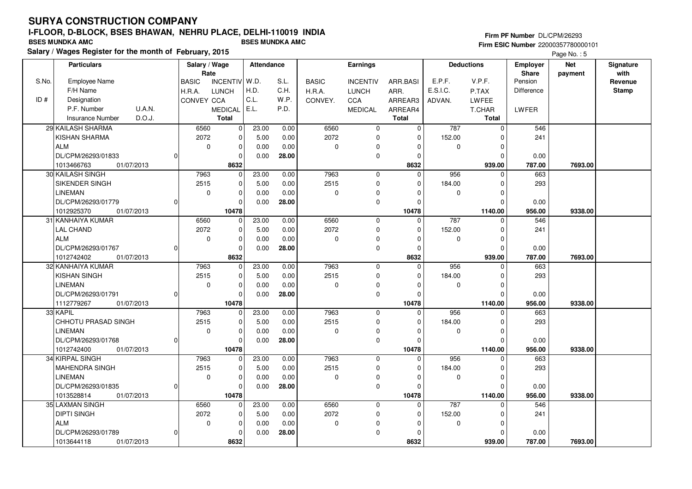**Salary / Wages Register for the month of February, 2015 BSES MUNDKA AMC BSES MUNDKA AMC**

#### **Firm PF Number** DL/CPM/26293 **Firm ESIC Number** 22000357780000101

|       | <b>Particulars</b>                | Salary / Wage |                 | Attendance |       |              | Earnings        |                |          | <b>Deductions</b> | <b>Employer</b> | <b>Net</b> | Signature    |
|-------|-----------------------------------|---------------|-----------------|------------|-------|--------------|-----------------|----------------|----------|-------------------|-----------------|------------|--------------|
|       |                                   | Rate          |                 |            |       |              |                 |                |          |                   | <b>Share</b>    | payment    | with         |
| S.No. | Employee Name                     | <b>BASIC</b>  | <b>INCENTIV</b> | W.D.       | S.L.  | <b>BASIC</b> | <b>INCENTIV</b> | ARR.BASI       | E.P.F.   | V.P.F.            | Pension         |            | Revenue      |
|       | F/H Name                          | H.R.A.        | <b>LUNCH</b>    | H.D.       | C.H.  | H.R.A.       | <b>LUNCH</b>    | ARR.           | E.S.I.C. | P.TAX             | Difference      |            | <b>Stamp</b> |
| ID#   | Designation                       | CONVEY CCA    |                 | C.L.       | W.P.  | CONVEY.      | CCA             | ARREAR3        | ADVAN.   | LWFEE             |                 |            |              |
|       | P.F. Number<br>U.A.N.             |               | <b>MEDICAL</b>  | E.L.       | P.D.  |              | <b>MEDICAL</b>  | ARREAR4        |          | T.CHAR            | LWFER           |            |              |
|       | D.O.J.<br><b>Insurance Number</b> |               | <b>Total</b>    |            |       |              |                 | <b>Total</b>   |          | <b>Total</b>      |                 |            |              |
|       | 29 KAILASH SHARMA                 | 6560          | $\Omega$        | 23.00      | 0.00  | 6560         | $\mathbf 0$     | $\overline{0}$ | 787      | $\mathbf 0$       | 546             |            |              |
|       | KISHAN SHARMA                     | 2072          | $\mathbf 0$     | 5.00       | 0.00  | 2072         | $\mathbf 0$     | 0              | 152.00   | $\mathbf 0$       | 241             |            |              |
|       | <b>ALM</b>                        | $\mathbf 0$   | $\mathbf 0$     | 0.00       | 0.00  | 0            | 0               | $\Omega$       | 0        | $\Omega$          |                 |            |              |
|       | DL/CPM/26293/01833                |               | $\Omega$        | 0.00       | 28.00 |              | $\mathbf 0$     | $\Omega$       |          | $\Omega$          | 0.00            |            |              |
|       | 1013466763<br>01/07/2013          |               | 8632            |            |       |              |                 | 8632           |          | 939.00            | 787.00          | 7693.00    |              |
|       | 30 KAILASH SINGH                  | 7963          | $\mathbf 0$     | 23.00      | 0.00  | 7963         | $\mathbf 0$     | $\mathbf 0$    | 956      | $\mathbf 0$       | 663             |            |              |
|       | SIKENDER SINGH                    | 2515          | $\Omega$        | 5.00       | 0.00  | 2515         | $\mathbf 0$     | $\Omega$       | 184.00   | $\Omega$          | 293             |            |              |
|       | <b>LINEMAN</b>                    | $\mathbf 0$   | $\mathbf 0$     | 0.00       | 0.00  | 0            | $\mathbf 0$     | $\Omega$       | 0        | $\mathbf 0$       |                 |            |              |
|       | DL/CPM/26293/01779                |               | $\Omega$        | 0.00       | 28.00 |              | $\mathbf 0$     | $\Omega$       |          | $\Omega$          | 0.00            |            |              |
|       | 1012925370<br>01/07/2013          |               | 10478           |            |       |              |                 | 10478          |          | 1140.00           | 956.00          | 9338.00    |              |
|       | 31 KANHAIYA KUMAR                 | 6560          | $\mathbf 0$     | 23.00      | 0.00  | 6560         | $\mathbf 0$     | 0              | 787      | $\Omega$          | 546             |            |              |
|       | <b>LAL CHAND</b>                  | 2072          | $\Omega$        | 5.00       | 0.00  | 2072         | $\mathbf 0$     | $\Omega$       | 152.00   | $\Omega$          | 241             |            |              |
|       | <b>ALM</b>                        | $\mathbf 0$   | $\mathbf 0$     | 0.00       | 0.00  | 0            | $\mathbf 0$     | $\Omega$       | 0        | $\mathbf 0$       |                 |            |              |
|       | DL/CPM/26293/01767                |               | $\mathbf 0$     | 0.00       | 28.00 |              | $\mathbf 0$     | $\Omega$       |          | $\Omega$          | 0.00            |            |              |
|       | 1012742402<br>01/07/2013          |               | 8632            |            |       |              |                 | 8632           |          | 939.00            | 787.00          | 7693.00    |              |
|       | 32 KANHAIYA KUMAR                 | 7963          | $\Omega$        | 23.00      | 0.00  | 7963         | $\mathbf 0$     | $\Omega$       | 956      | $\Omega$          | 663             |            |              |
|       | KISHAN SINGH                      | 2515          | $\Omega$        | 5.00       | 0.00  | 2515         | $\mathbf 0$     | $\Omega$       | 184.00   | $\mathbf 0$       | 293             |            |              |
|       | <b>LINEMAN</b>                    | $\mathbf 0$   | $\Omega$        | 0.00       | 0.00  | 0            | 0               | $\Omega$       | 0        | $\Omega$          |                 |            |              |
|       | DL/CPM/26293/01791                |               | $\Omega$        | 0.00       | 28.00 |              | $\mathbf 0$     | $\Omega$       |          | $\Omega$          | 0.00            |            |              |
|       | 1112779267<br>01/07/2013          |               | 10478           |            |       |              |                 | 10478          |          | 1140.00           | 956.00          | 9338.00    |              |
|       | 33 KAPIL                          | 7963          | $\Omega$        | 23.00      | 0.00  | 7963         | $\mathbf 0$     | $\Omega$       | 956      | $\Omega$          | 663             |            |              |
|       | CHHOTU PRASAD SINGH               | 2515          | $\Omega$        | 5.00       | 0.00  | 2515         | $\mathbf 0$     | $\Omega$       | 184.00   | $\Omega$          | 293             |            |              |
|       | <b>LINEMAN</b>                    | $\mathbf 0$   | 0               | 0.00       | 0.00  | 0            | 0               | $\Omega$       | 0        | 0                 |                 |            |              |
|       | DL/CPM/26293/01768                | $\Omega$      | $\Omega$        | 0.00       | 28.00 |              | $\mathbf 0$     | $\Omega$       |          | $\Omega$          | 0.00            |            |              |
|       | 1012742400<br>01/07/2013          |               | 10478           |            |       |              |                 | 10478          |          | 1140.00           | 956.00          | 9338.00    |              |
|       | 34 KIRPAL SINGH                   | 7963          | $\Omega$        | 23.00      | 0.00  | 7963         | $\mathbf 0$     | 0              | 956      | $\Omega$          | 663             |            |              |
|       | MAHENDRA SINGH                    | 2515          | $\mathbf 0$     | 5.00       | 0.00  | 2515         | $\mathbf 0$     | $\Omega$       | 184.00   | $\mathbf 0$       | 293             |            |              |
|       | LINEMAN                           | $\mathbf 0$   | $\mathbf 0$     | 0.00       | 0.00  | 0            | 0               | $\Omega$       | 0        | $\mathbf 0$       |                 |            |              |
|       | DL/CPM/26293/01835                |               | $\Omega$        | 0.00       | 28.00 |              | $\mathbf 0$     | $\Omega$       |          | $\Omega$          | 0.00            |            |              |
|       | 1013528814<br>01/07/2013          |               | 10478           |            |       |              |                 | 10478          |          | 1140.00           | 956.00          | 9338.00    |              |
|       | 35 LAXMAN SINGH                   | 6560          | $\Omega$        | 23.00      | 0.00  | 6560         | $\mathbf 0$     | $\Omega$       | 787      | $\Omega$          | 546             |            |              |
|       | <b>DIPTI SINGH</b>                | 2072          | $\mathbf 0$     | 5.00       | 0.00  | 2072         | 0               | $\Omega$       | 152.00   | 0                 | 241             |            |              |
|       | <b>ALM</b>                        | 0             | $\mathbf 0$     | 0.00       | 0.00  | 0            | $\Omega$        | $\Omega$       | 0        | $\Omega$          |                 |            |              |
|       | DL/CPM/26293/01789                |               | $\Omega$        | 0.00       | 28.00 |              | $\mathbf 0$     | $\Omega$       |          | $\Omega$          | 0.00            |            |              |
|       | 1013644118<br>01/07/2013          |               | 8632            |            |       |              |                 | 8632           |          | 939.00            | 787.00          | 7693.00    |              |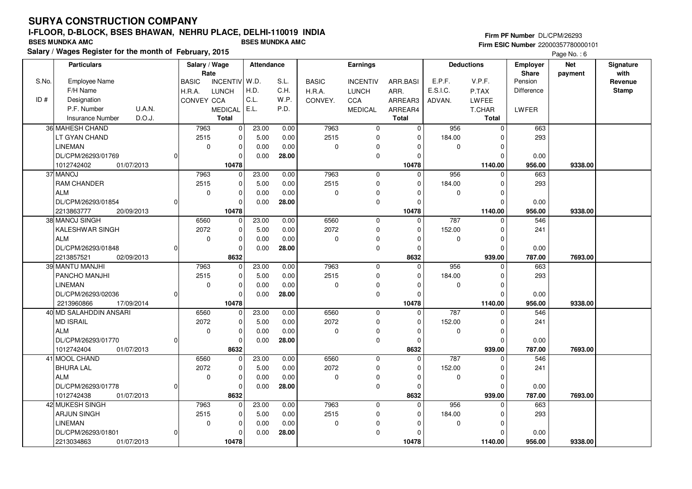**Salary / Wages Register for the month of February, 2015 BSES MUNDKA AMC BSES MUNDKA AMC**

#### **Firm PF Number** DL/CPM/26293 **Firm ESIC Number** 22000357780000101

|       | <b>Particulars</b>                                 | Salary / Wage | Rate                 | Attendance |              |              | Earnings        |                     |          | <b>Deductions</b>       | <b>Employer</b><br>Share | <b>Net</b><br>payment | Signature<br>with |
|-------|----------------------------------------------------|---------------|----------------------|------------|--------------|--------------|-----------------|---------------------|----------|-------------------------|--------------------------|-----------------------|-------------------|
| S.No. | <b>Employee Name</b>                               | <b>BASIC</b>  | <b>INCENTIV</b>      | W.D.       | S.L.         | <b>BASIC</b> | <b>INCENTIV</b> | ARR.BASI            | E.P.F.   | V.P.F.                  | Pension                  |                       | Revenue           |
|       | F/H Name                                           | H.R.A.        | <b>LUNCH</b>         | H.D.       | C.H.         | H.R.A.       | <b>LUNCH</b>    | ARR.                | E.S.I.C. | P.TAX                   | Difference               |                       | <b>Stamp</b>      |
| ID#   | Designation                                        | CONVEY CCA    |                      | C.L.       | W.P.         | CONVEY.      | CCA             | ARREAR3             | ADVAN.   | LWFEE                   |                          |                       |                   |
|       | U.A.N.<br>P.F. Number                              |               | MEDICAL              | E.L.       | P.D.         |              | <b>MEDICAL</b>  | ARREAR4             |          | <b>T.CHAR</b>           | <b>LWFER</b>             |                       |                   |
|       | D.O.J.<br><b>Insurance Number</b>                  |               | <b>Total</b>         |            |              |              |                 | <b>Total</b>        |          | <b>Total</b>            |                          |                       |                   |
|       | 36 MAHESH CHAND                                    | 7963          | $\mathbf 0$          | 23.00      | 0.00         | 7963         | $\mathbf 0$     | $\mathbf 0$         | 956      | $\mathbf 0$             | 663                      |                       |                   |
|       | LT GYAN CHAND                                      | 2515          | $\mathbf 0$          | 5.00       | 0.00         | 2515         | $\mathbf 0$     | $\Omega$            | 184.00   | $\Omega$                | 293                      |                       |                   |
|       | <b>LINEMAN</b>                                     | $\mathbf 0$   | $\mathbf 0$          | 0.00       | 0.00         | 0            | $\mathbf 0$     | $\Omega$            | 0        | $\Omega$                |                          |                       |                   |
|       | DL/CPM/26293/01769                                 |               | $\Omega$             | 0.00       | 28.00        |              | $\mathbf 0$     | $\Omega$            |          | $\Omega$                | 0.00                     |                       |                   |
|       | 1012742402<br>01/07/2013                           |               | 10478                |            |              |              |                 | 10478               |          | 1140.00                 | 956.00                   | 9338.00               |                   |
|       | 37 MANOJ                                           | 7963          | $\Omega$             | 23.00      | 0.00         | 7963         | $\mathbf 0$     | $\Omega$            | 956      | $\Omega$                | 663                      |                       |                   |
|       | <b>RAM CHANDER</b>                                 | 2515          | $\mathbf 0$          |            |              | 2515         |                 |                     | 184.00   |                         |                          |                       |                   |
|       | <b>ALM</b>                                         | 0             | $\Omega$             | 5.00       | 0.00         |              | $\mathbf 0$     | 0                   |          | 0<br>$\Omega$           | 293                      |                       |                   |
|       |                                                    |               | $\Omega$             | 0.00       | 0.00         | 0            | $\Omega$        | $\Omega$            | 0        | $\Omega$                |                          |                       |                   |
|       | DL/CPM/26293/01854                                 |               |                      | 0.00       | 28.00        |              | $\mathbf 0$     | 0                   |          |                         | 0.00                     |                       |                   |
|       | 2213863777<br>20/09/2013<br>38 MANOJ SINGH         | 6560          | 10478<br>$\mathbf 0$ |            |              | 6560         |                 | 10478<br>$\Omega$   | 787      | 1140.00                 | 956.00<br>546            | 9338.00               |                   |
|       | <b>KALESHWAR SINGH</b>                             |               | $\mathbf 0$          | 23.00      | 0.00         | 2072         | $\mathsf 0$     |                     |          | $\Omega$                |                          |                       |                   |
|       |                                                    | 2072          |                      | 5.00       | 0.00         |              | $\mathbf 0$     | $\mathbf 0$         | 152.00   | $\Omega$                | 241                      |                       |                   |
|       | <b>ALM</b>                                         | $\mathbf 0$   | $\mathbf 0$          | 0.00       | 0.00         | 0            | $\mathbf 0$     | $\Omega$            | 0        | $\mathbf 0$<br>$\Omega$ |                          |                       |                   |
|       | DL/CPM/26293/01848                                 |               | $\Omega$<br>8632     | 0.00       | 28.00        |              | 0               | $\Omega$            |          |                         | 0.00                     |                       |                   |
|       | 02/09/2013<br>2213857521<br>39 MANTU MANJHI        | 7963          | $\mathbf 0$          | 23.00      |              | 7963         | $\mathbf 0$     | 8632<br>$\mathbf 0$ | 956      | 939.00<br>$\Omega$      | 787.00<br>663            | 7693.00               |                   |
|       | PANCHO MANJHI                                      | 2515          | $\mathbf 0$          | 5.00       | 0.00<br>0.00 | 2515         |                 | $\Omega$            | 184.00   | $\Omega$                | 293                      |                       |                   |
|       | <b>LINEMAN</b>                                     | 0             | $\Omega$             |            |              | 0            | $\mathsf 0$     | $\Omega$            |          | $\Omega$                |                          |                       |                   |
|       |                                                    |               |                      | 0.00       | 0.00         |              | $\pmb{0}$       |                     | 0        |                         |                          |                       |                   |
|       | DL/CPM/26293/02036                                 |               | $\mathbf 0$          | 0.00       | 28.00        |              | $\mathbf 0$     | 0                   |          | $\Omega$                | 0.00                     |                       |                   |
|       | 2213960866<br>17/09/2014<br>40 MD SALAHDDIN ANSARI | 6560          | 10478<br>$\mathbf 0$ | 23.00      | 0.00         | 6560         |                 | 10478<br>$\Omega$   | 787      | 1140.00<br>$\Omega$     | 956.00<br>546            | 9338.00               |                   |
|       |                                                    |               | $\mathbf 0$          |            |              | 2072         | $\mathbf 0$     |                     |          |                         |                          |                       |                   |
|       | <b>MD ISRAIL</b>                                   | 2072          |                      | 5.00       | 0.00         |              | $\mathbf 0$     | 0                   | 152.00   | $\Omega$                | 241                      |                       |                   |
|       | <b>ALM</b>                                         | 0             | $\mathbf 0$          | 0.00       | 0.00         | 0            | 0               | $\Omega$            | 0        | $\Omega$                |                          |                       |                   |
|       | DL/CPM/26293/01770                                 |               | $\mathbf 0$          | 0.00       | 28.00        |              | $\mathbf 0$     | $\mathbf 0$         |          | $\Omega$                | 0.00                     |                       |                   |
|       | 1012742404<br>01/07/2013                           |               | 8632                 |            |              |              |                 | 8632                |          | 939.00                  | 787.00                   | 7693.00               |                   |
|       | 41 MOOL CHAND                                      | 6560          | $\mathbf 0$          | 23.00      | 0.00         | 6560         | $\mathbf 0$     | $\mathbf 0$         | 787      | $\mathbf 0$             | 546                      |                       |                   |
|       | <b>BHURA LAL</b>                                   | 2072          | $\Omega$             | 5.00       | 0.00         | 2072         | $\mathbf 0$     | $\Omega$            | 152.00   | $\Omega$                | 241                      |                       |                   |
|       | <b>ALM</b>                                         | $\mathbf 0$   | $\mathbf 0$          | 0.00       | 0.00         | 0            | $\pmb{0}$       | 0                   | 0        | $\Omega$                |                          |                       |                   |
|       | DL/CPM/26293/01778                                 |               | $\Omega$             | 0.00       | 28.00        |              | $\mathbf 0$     | 0                   |          | $\Omega$                | 0.00                     |                       |                   |
|       | 1012742438<br>01/07/2013                           |               | 8632                 |            |              |              |                 | 8632                |          | 939.00                  | 787.00                   | 7693.00               |                   |
|       | 42 MUKESH SINGH                                    | 7963          | $\Omega$             | 23.00      | 0.00         | 7963         | $\mathbf 0$     | $\Omega$            | 956      | $\Omega$                | 663                      |                       |                   |
|       | <b>ARJUN SINGH</b>                                 | 2515          | $\mathbf 0$          | 5.00       | 0.00         | 2515         | $\pmb{0}$       | 0                   | 184.00   | $\Omega$                | 293                      |                       |                   |
|       | <b>LINEMAN</b>                                     | $\mathbf 0$   | $\mathbf 0$          | 0.00       | 0.00         | 0            | $\mathbf 0$     | $\Omega$            | 0        | $\Omega$                |                          |                       |                   |
|       | DL/CPM/26293/01801                                 |               | $\Omega$             | 0.00       | 28.00        |              | $\mathbf 0$     | $\Omega$            |          | $\Omega$                | 0.00                     |                       |                   |
|       | 2213034863<br>01/07/2013                           |               | 10478                |            |              |              |                 | 10478               |          | 1140.00                 | 956.00                   | 9338.00               |                   |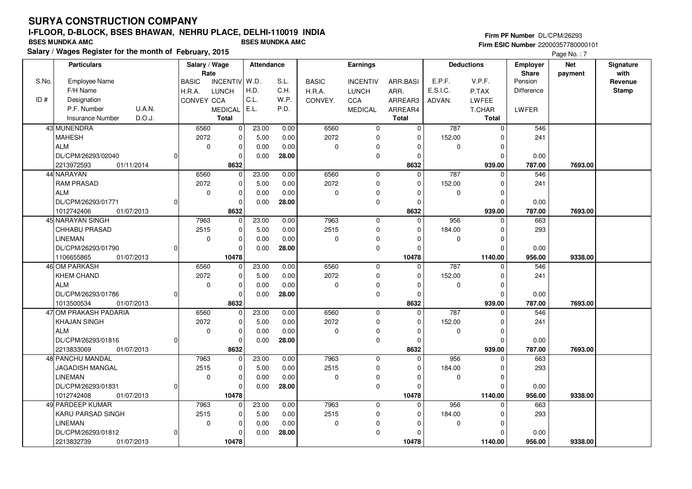**Salary / Wages Register for the month of February, 2015 BSES MUNDKA AMC BSES MUNDKA AMC**

#### **Firm PF Number** DL/CPM/26293 **Firm ESIC Number** 22000357780000101

|       | <b>Particulars</b>                       |          | Salary / Wage               |                         | Attendance   |               |              | Earnings                   |                         |             | <b>Deductions</b>       | <b>Employer</b>         | <b>Net</b> | Signature               |
|-------|------------------------------------------|----------|-----------------------------|-------------------------|--------------|---------------|--------------|----------------------------|-------------------------|-------------|-------------------------|-------------------------|------------|-------------------------|
| S.No. | <b>Employee Name</b>                     |          | Rate                        | INCENTIV W.D.           |              | S.L.          |              |                            |                         | E.P.F.      | V.P.F.                  | <b>Share</b><br>Pension | payment    | with                    |
|       | F/H Name                                 |          | <b>BASIC</b>                |                         | H.D.         | C.H.          | <b>BASIC</b> | <b>INCENTIV</b>            | ARR.BASI                | E.S.I.C.    |                         | <b>Difference</b>       |            | Revenue<br><b>Stamp</b> |
| ID#   | Designation                              |          | H.R.A.<br><b>CONVEY CCA</b> | <b>LUNCH</b>            | C.L.         | W.P.          | H.R.A.       | LUNCH<br>CCA               | ARR.                    |             | P.TAX<br>LWFEE          |                         |            |                         |
|       | P.F. Number<br>U.A.N.                    |          |                             | MEDICAL   E.L.          |              | P.D.          | CONVEY.      |                            | ARREAR3                 | ADVAN.      |                         |                         |            |                         |
|       | D.O.J.<br><b>Insurance Number</b>        |          |                             | <b>Total</b>            |              |               |              | <b>MEDICAL</b>             | ARREAR4<br><b>Total</b> |             | T.CHAR<br><b>Total</b>  | LWFER                   |            |                         |
|       |                                          |          |                             |                         |              |               |              |                            |                         |             |                         |                         |            |                         |
|       | 43 MUNENDRA                              |          | 6560                        | 0                       | 23.00        | 0.00          | 6560<br>2072 | 0                          | $\mathbf 0$             | 787         | $\mathbf 0$             | 546                     |            |                         |
|       | <b>MAHESH</b><br>ALM                     |          | 2072                        | $\pmb{0}$               | 5.00         | 0.00          |              | $\mathbf 0$                | 0                       | 152.00      | $\mathbf 0$             | 241                     |            |                         |
|       |                                          |          | $\mathbf 0$                 | $\mathbf 0$             | 0.00         | 0.00          | 0            | $\Omega$                   | $\Omega$                | $\mathbf 0$ | $\mathbf 0$             |                         |            |                         |
|       | DL/CPM/26293/02040                       | ŋ        |                             | $\Omega$                | 0.00         | 28.00         |              | $\mathbf 0$                | 0                       |             | $\mathbf 0$             | 0.00                    |            |                         |
|       | 2213972593<br>01/11/2014                 |          |                             | 8632                    |              |               |              |                            | 8632<br>$\Omega$        |             | 939.00                  | 787.00                  | 7693.00    |                         |
|       | 44 NARAYAN                               |          | 6560                        | $\mathbf 0$             | 23.00        | 0.00          | 6560<br>2072 | $\mathbf 0$                |                         | 787         | $\mathbf 0$             | 546                     |            |                         |
|       | <b>RAM PRASAD</b>                        |          | 2072                        | 0                       | 5.00         | 0.00          |              | $\mathbf 0$                | $\Omega$<br>$\Omega$    | 152.00      | $\mathbf 0$<br>$\Omega$ | 241                     |            |                         |
|       | <b>ALM</b>                               |          | $\mathbf 0$                 | $\mathbf 0$<br>$\Omega$ | 0.00         | 0.00          | 0            | $\mathbf 0$                |                         | 0           |                         |                         |            |                         |
|       | DL/CPM/26293/01771                       | $\Omega$ |                             |                         | 0.00         | 28.00         |              | $\mathbf 0$                | 0                       |             | $\mathbf 0$             | 0.00                    |            |                         |
|       | 01/07/2013<br>1012742406                 |          |                             | 8632                    | 23.00        |               | 7963         |                            | 8632<br>$\mathbf 0$     | 956         | 939.00                  | 787.00<br>663           | 7693.00    |                         |
|       | 45 NARAYAN SINGH<br><b>CHHABU PRASAD</b> |          | 7963<br>2515                | $\mathbf 0$<br>0        | 5.00         | 0.00<br>0.00  | 2515         | $\mathbf 0$<br>$\mathbf 0$ | $\Omega$                |             | 0<br>$\mathbf 0$        | 293                     |            |                         |
|       | <b>LINEMAN</b>                           |          |                             |                         |              |               |              |                            | $\Omega$                | 184.00      |                         |                         |            |                         |
|       | DL/CPM/26293/01790                       | 0        | $\mathbf 0$                 | $\mathbf 0$<br>$\Omega$ | 0.00<br>0.00 | 0.00<br>28.00 | 0            | $\mathbf 0$                | $\Omega$                | 0           | $\mathbf 0$<br>$\Omega$ |                         |            |                         |
|       | 1106655865<br>01/07/2013                 |          |                             | 10478                   |              |               |              | $\pmb{0}$                  | 10478                   |             | 1140.00                 | 0.00<br>956.00          | 9338.00    |                         |
|       | 46 OM PARKASH                            |          | 6560                        | $\mathbf 0$             | 23.00        | 0.00          | 6560         | $\mathbf 0$                | $\mathbf 0$             | 787         | $\mathbf 0$             | 546                     |            |                         |
|       | <b>KHEM CHAND</b>                        |          | 2072                        | $\pmb{0}$               | 5.00         | 0.00          | 2072         | $\mathbf 0$                | $\Omega$                | 152.00      | $\Omega$                | 241                     |            |                         |
|       | ALM                                      |          | $\mathbf 0$                 | $\mathbf 0$             | 0.00         | 0.00          | 0            | $\mathbf 0$                | $\Omega$                | $\mathbf 0$ | $\mathbf 0$             |                         |            |                         |
|       | DL/CPM/26293/01786                       | $\Omega$ |                             | $\mathbf 0$             | 0.00         | 28.00         |              | $\mathbf 0$                | $\Omega$                |             | $\Omega$                | 0.00                    |            |                         |
|       | 1013500534<br>01/07/2013                 |          |                             | 8632                    |              |               |              |                            | 8632                    |             | 939.00                  | 787.00                  | 7693.00    |                         |
|       | 47 OM PRAKASH PADARIA                    |          | 6560                        | 0                       | 23.00        | 0.00          | 6560         | $\mathbf 0$                | $\Omega$                | 787         | $\Omega$                | 546                     |            |                         |
|       | <b>KHAJAN SINGH</b>                      |          | 2072                        | $\mathbf 0$             | 5.00         | 0.00          | 2072         | $\mathbf 0$                | $\Omega$                | 152.00      | $\mathbf 0$             | 241                     |            |                         |
|       | <b>ALM</b>                               |          | 0                           | $\mathbf 0$             | 0.00         | 0.00          | 0            | $\mathbf 0$                | $\Omega$                | 0           | $\mathbf 0$             |                         |            |                         |
|       | DL/CPM/26293/01816                       | O        |                             | $\mathbf 0$             | 0.00         | 28.00         |              | $\mathbf 0$                | $\Omega$                |             | $\Omega$                | 0.00                    |            |                         |
|       | 2213833069<br>01/07/2013                 |          |                             | 8632                    |              |               |              |                            | 8632                    |             | 939.00                  | 787.00                  | 7693.00    |                         |
|       | 48 PANCHU MANDAL                         |          | 7963                        | $\mathbf 0$             | 23.00        | 0.00          | 7963         | $\mathbf{0}$               | $\Omega$                | 956         | $\Omega$                | 663                     |            |                         |
|       | <b>JAGADISH MANGAL</b>                   |          | 2515                        | $\mathbf 0$             | 5.00         | 0.00          | 2515         | $\mathbf 0$                | $\Omega$                | 184.00      | $\mathbf 0$             | 293                     |            |                         |
|       | <b>LINEMAN</b>                           |          | $\mathbf 0$                 | $\mathbf 0$             | 0.00         | 0.00          | 0            | 0                          | 0                       | 0           | 0                       |                         |            |                         |
|       | DL/CPM/26293/01831                       | $\Omega$ |                             | $\Omega$                | 0.00         | 28.00         |              | $\mathbf 0$                | $\Omega$                |             | $\Omega$                | 0.00                    |            |                         |
|       | 01/07/2013<br>1012742408                 |          |                             | 10478                   |              |               |              |                            | 10478                   |             | 1140.00                 | 956.00                  | 9338.00    |                         |
|       | 49 PARDEEP KUMAR                         |          | 7963                        | $\mathbf 0$             | 23.00        | 0.00          | 7963         | $\mathbf 0$                | $\Omega$                | 956         | $\Omega$                | 663                     |            |                         |
|       | KARU PARSAD SINGH                        |          | 2515                        | 0                       | 5.00         | 0.00          | 2515         | 0                          | $\Omega$                | 184.00      | $\mathbf 0$             | 293                     |            |                         |
|       | LINEMAN                                  |          | 0                           | $\pmb{0}$               | 0.00         | 0.00          | 0            | 0                          | $\Omega$                | 0           | 0                       |                         |            |                         |
|       | DL/CPM/26293/01812                       | 0        |                             | $\Omega$                | 0.00         | 28.00         |              | $\mathbf 0$                | $\Omega$                |             | $\Omega$                | 0.00                    |            |                         |
|       | 2213832739<br>01/07/2013                 |          |                             | 10478                   |              |               |              |                            | 10478                   |             | 1140.00                 | 956.00                  | 9338.00    |                         |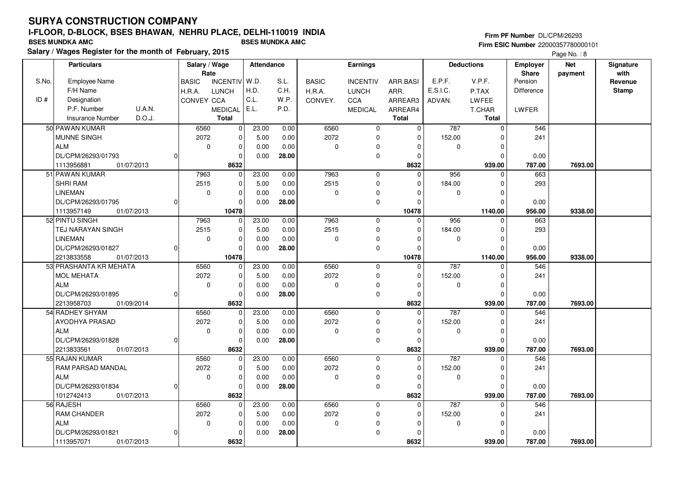**Salary / Wages Register for the month of February, 2015 BSES MUNDKA AMC BSES MUNDKA AMC**

#### **Firm PF Number** DL/CPM/26293 **Firm ESIC Number** 22000357780000101

|       | <b>Particulars</b>                | Salary / Wage        |                 | <b>Attendance</b> |       |              | Earnings        |                |          | <b>Deductions</b> | <b>Employer</b>         | <b>Net</b> | Signature       |
|-------|-----------------------------------|----------------------|-----------------|-------------------|-------|--------------|-----------------|----------------|----------|-------------------|-------------------------|------------|-----------------|
| S.No. | <b>Employee Name</b>              | Rate<br><b>BASIC</b> | <b>INCENTIV</b> | W.D.              | S.L.  | <b>BASIC</b> | <b>INCENTIV</b> | ARR.BASI       | E.P.F.   | V.P.F.            | <b>Share</b><br>Pension | payment    | with<br>Revenue |
|       | F/H Name                          | H.R.A.               | <b>LUNCH</b>    | H.D.              | C.H.  | H.R.A.       | <b>LUNCH</b>    | ARR.           | E.S.I.C. | P.TAX             | Difference              |            | <b>Stamp</b>    |
| ID#   | Designation                       | CONVEY CCA           |                 | C.L.              | W.P.  | CONVEY.      | CCA             | ARREAR3        | ADVAN.   | <b>LWFEE</b>      |                         |            |                 |
|       | P.F. Number<br>U.A.N.             |                      | <b>MEDICAL</b>  | E.L.              | P.D.  |              | <b>MEDICAL</b>  | ARREAR4        |          | T.CHAR            | LWFER                   |            |                 |
|       | D.O.J.<br><b>Insurance Number</b> |                      | <b>Total</b>    |                   |       |              |                 | <b>Total</b>   |          | <b>Total</b>      |                         |            |                 |
|       | 50 PAWAN KUMAR                    | 6560                 | $\mathbf 0$     | 23.00             | 0.00  | 6560         | $\mathbf 0$     | $\overline{0}$ | 787      | $\mathbf 0$       | 546                     |            |                 |
|       | MUNNE SINGH                       | 2072                 | $\mathbf 0$     | 5.00              | 0.00  | 2072         | $\mathbf 0$     | $\mathbf 0$    | 152.00   | $\Omega$          | 241                     |            |                 |
|       | <b>ALM</b>                        | $\mathbf 0$          | $\pmb{0}$       | 0.00              | 0.00  | 0            | 0               | $\Omega$       | 0        | $\Omega$          |                         |            |                 |
|       | DL/CPM/26293/01793                |                      | $\Omega$        | 0.00              | 28.00 |              | $\mathbf 0$     | $\Omega$       |          | $\Omega$          | 0.00                    |            |                 |
|       | 01/07/2013<br>1113956881          |                      | 8632            |                   |       |              |                 | 8632           |          | 939.00            | 787.00                  | 7693.00    |                 |
|       | 51 PAWAN KUMAR                    | 7963                 | $\mathbf 0$     | 23.00             | 0.00  | 7963         | $\mathbf 0$     | $\Omega$       | 956      | $\Omega$          | 663                     |            |                 |
|       | <b>SHRI RAM</b>                   | 2515                 | $\mathbf 0$     | 5.00              | 0.00  | 2515         | $\mathbf 0$     | 0              | 184.00   | $\Omega$          | 293                     |            |                 |
|       | <b>LINEMAN</b>                    | $\mathbf 0$          | $\mathbf 0$     | 0.00              | 0.00  | 0            | $\pmb{0}$       | $\Omega$       | 0        | $\Omega$          |                         |            |                 |
|       | DL/CPM/26293/01795                |                      | $\Omega$        | 0.00              | 28.00 |              | $\mathbf 0$     | $\Omega$       |          | $\Omega$          | 0.00                    |            |                 |
|       | 1113957149<br>01/07/2013          |                      | 10478           |                   |       |              |                 | 10478          |          | 1140.00           | 956.00                  | 9338.00    |                 |
|       | 52 PINTU SINGH                    | 7963                 | $\Omega$        | 23.00             | 0.00  | 7963         | $\mathbf{0}$    | $\Omega$       | 956      | $\Omega$          | 663                     |            |                 |
|       | TEJ NARAYAN SINGH                 | 2515                 | $\Omega$        | 5.00              | 0.00  | 2515         | $\mathbf 0$     | $\Omega$       | 184.00   | $\Omega$          | 293                     |            |                 |
|       | <b>LINEMAN</b>                    | 0                    | $\Omega$        | 0.00              | 0.00  | 0            | $\pmb{0}$       | 0              | 0        | $\Omega$          |                         |            |                 |
|       | DL/CPM/26293/01827                |                      | $\mathbf 0$     | 0.00              | 28.00 |              | $\mathbf 0$     | $\Omega$       |          | $\Omega$          | 0.00                    |            |                 |
|       | 2213833558<br>01/07/2013          |                      | 10478           |                   |       |              |                 | 10478          |          | 1140.00           | 956.00                  | 9338.00    |                 |
|       | 53 PRASHANTA KR MEHATA            | 6560                 | 0               | 23.00             | 0.00  | 6560         | $\mathbf 0$     | 0              | 787      | $\Omega$          | 546                     |            |                 |
|       | <b>MOL MEHATA</b>                 | 2072                 | $\Omega$        | 5.00              | 0.00  | 2072         | $\mathbf 0$     | $\Omega$       | 152.00   | $\Omega$          | 241                     |            |                 |
|       | <b>ALM</b>                        | $\mathbf 0$          | $\mathbf 0$     | 0.00              | 0.00  | 0            | $\pmb{0}$       | 0              | 0        | $\Omega$          |                         |            |                 |
|       | DL/CPM/26293/01895                |                      | 0               | 0.00              | 28.00 |              | $\mathbf 0$     | $\Omega$       |          | $\Omega$          | 0.00                    |            |                 |
|       | 2213958703<br>01/09/2014          |                      | 8632            |                   |       |              |                 | 8632           |          | 939.00            | 787.00                  | 7693.00    |                 |
|       | 54 RADHEY SHYAM                   | 6560                 | 0               | 23.00             | 0.00  | 6560         | $\mathbf{0}$    | 0              | 787      | $\Omega$          | 546                     |            |                 |
|       | AYODHYA PRASAD                    | 2072                 | $\Omega$        | 5.00              | 0.00  | 2072         | $\mathbf 0$     | $\Omega$       | 152.00   | $\Omega$          | 241                     |            |                 |
|       | <b>ALM</b>                        | $\mathbf 0$          | $\mathbf 0$     | 0.00              | 0.00  | 0            | 0               | 0              | 0        | $\mathbf 0$       |                         |            |                 |
|       | DL/CPM/26293/01828                | ŋ                    | $\Omega$        | 0.00              | 28.00 |              | $\mathbf 0$     | 0              |          | $\Omega$          | 0.00                    |            |                 |
|       | 2213833561<br>01/07/2013          |                      | 8632            |                   |       |              |                 | 8632           |          | 939.00            | 787.00                  | 7693.00    |                 |
|       | 55 RAJAN KUMAR                    | 6560                 | $\Omega$        | 23.00             | 0.00  | 6560         | $\mathbf 0$     | $\Omega$       | 787      | $\Omega$          | 546                     |            |                 |
|       | RAM PARSAD MANDAL                 | 2072                 | $\Omega$        | 5.00              | 0.00  | 2072         | 0               | $\Omega$       | 152.00   | $\Omega$          | 241                     |            |                 |
|       | <b>ALM</b>                        | $\mathbf 0$          | $\mathbf 0$     | 0.00              | 0.00  | 0            | $\mathbf 0$     | 0              | 0        | $\Omega$          |                         |            |                 |
|       | DL/CPM/26293/01834                |                      | $\Omega$        | 0.00              | 28.00 |              | $\mathbf 0$     | $\mathbf 0$    |          | $\Omega$          | 0.00                    |            |                 |
|       | 01/07/2013<br>1012742413          |                      | 8632            |                   |       |              |                 | 8632           |          | 939.00            | 787.00                  | 7693.00    |                 |
|       | 56 RAJESH                         | 6560                 | $\Omega$        | 23.00             | 0.00  | 6560         | $\mathbf 0$     | $\Omega$       | 787      | $\Omega$          | 546                     |            |                 |
|       | <b>RAM CHANDER</b>                | 2072                 | 0               | 5.00              | 0.00  | 2072         | $\pmb{0}$       | $\mathbf 0$    | 152.00   | $\Omega$          | 241                     |            |                 |
|       | <b>ALM</b>                        | 0                    | $\Omega$        | 0.00              | 0.00  | 0            | $\Omega$        | $\Omega$       | 0        | $\Omega$          |                         |            |                 |
|       | DL/CPM/26293/01821                |                      | $\Omega$        | 0.00              | 28.00 |              | $\mathbf 0$     | $\mathbf 0$    |          | $\Omega$          | 0.00                    |            |                 |
|       | 1113957071<br>01/07/2013          |                      | 8632            |                   |       |              |                 | 8632           |          | 939.00            | 787.00                  | 7693.00    |                 |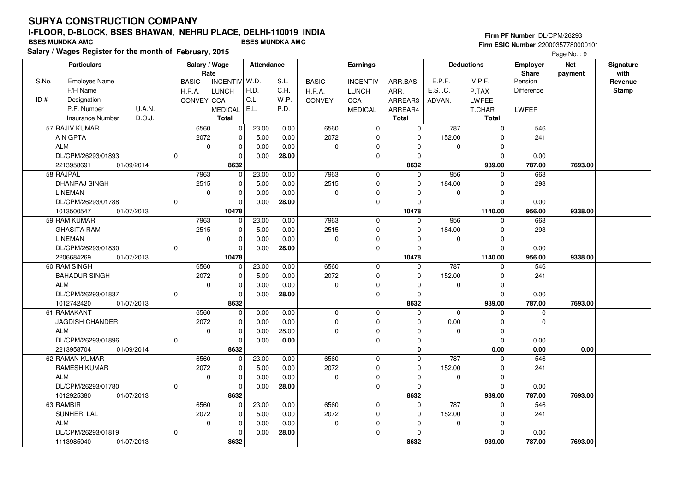# **SURYA CONSTRUCTION COMPANY**

## **I-FLOOR, D-BLOCK, BSES BHAWAN, NEHRU PLACE, DELHI-110019 INDIA**

**Salary / Wages Register for the month of February, 2015 BSES MUNDKA AMC BSES MUNDKA AMC**

#### **Firm PF Number** DL/CPM/26293 **Firm ESIC Number** 22000357780000101

|       | <b>Particulars</b>         |          | Salary / Wage<br>Rate |                 | Attendance |       |              | <b>Earnings</b> |              |             | <b>Deductions</b> | <b>Employer</b><br>Share | <b>Net</b> | Signature<br>with |
|-------|----------------------------|----------|-----------------------|-----------------|------------|-------|--------------|-----------------|--------------|-------------|-------------------|--------------------------|------------|-------------------|
| S.No. | Employee Name              |          | <b>BASIC</b>          | <b>INCENTIV</b> | W.D.       | S.L.  | <b>BASIC</b> | <b>INCENTIV</b> | ARR.BASI     | E.P.F.      | V.P.F.            | Pension                  | payment    | Revenue           |
|       | F/H Name                   |          | H.R.A.                | <b>LUNCH</b>    | H.D.       | C.H.  | H.R.A.       | <b>LUNCH</b>    | ARR.         | E.S.I.C.    | P.TAX             | Difference               |            | <b>Stamp</b>      |
| ID#   | Designation                |          | <b>CONVEY CCA</b>     |                 | C.L.       | W.P.  | CONVEY.      | CCA             | ARREAR3      | ADVAN.      | <b>LWFEE</b>      |                          |            |                   |
|       | P.F. Number<br>U.A.N.      |          |                       | <b>MEDICAL</b>  | E.L.       | P.D.  |              | <b>MEDICAL</b>  | ARREAR4      |             | T.CHAR            | LWFER                    |            |                   |
|       | D.O.J.<br>Insurance Number |          |                       | <b>Total</b>    |            |       |              |                 | <b>Total</b> |             | <b>Total</b>      |                          |            |                   |
|       | 57 RAJIV KUMAR             |          | 6560                  | $\mathbf 0$     | 23.00      | 0.00  | 6560         | $\mathbf 0$     | $\mathbf 0$  | 787         | $\mathbf 0$       | 546                      |            |                   |
|       | A N GPTA                   |          | 2072                  | 0               | 5.00       | 0.00  | 2072         | $\mathbf 0$     | $\mathbf 0$  | 152.00      | $\Omega$          | 241                      |            |                   |
|       | <b>ALM</b>                 |          | $\mathbf 0$           | 0               | 0.00       | 0.00  | 0            | $\Omega$        | 0            | $\mathbf 0$ | $\Omega$          |                          |            |                   |
|       | DL/CPM/26293/01893         | U        |                       | $\mathbf 0$     | 0.00       | 28.00 |              | $\mathbf 0$     | 0            |             | $\Omega$          | 0.00                     |            |                   |
|       | 2213958691<br>01/09/2014   |          |                       | 8632            |            |       |              |                 | 8632         |             | 939.00            | 787.00                   | 7693.00    |                   |
|       | 58 RAJPAL                  |          | 7963                  | $\Omega$        | 23.00      | 0.00  | 7963         | $\mathbf 0$     | $\Omega$     | 956         | $\Omega$          | 663                      |            |                   |
|       | <b>DHANRAJ SINGH</b>       |          | 2515                  | 0               | 5.00       | 0.00  | 2515         | $\mathbf 0$     | 0            | 184.00      | $\mathbf 0$       | 293                      |            |                   |
|       | <b>LINEMAN</b>             |          | 0                     | $\mathbf 0$     | 0.00       | 0.00  | 0            | $\Omega$        | $\Omega$     | $\mathbf 0$ | $\Omega$          |                          |            |                   |
|       | DL/CPM/26293/01788         | $\Omega$ |                       | $\Omega$        | 0.00       | 28.00 |              | $\mathbf 0$     | $\Omega$     |             | $\Omega$          | 0.00                     |            |                   |
|       | 1013500547<br>01/07/2013   |          |                       | 10478           |            |       |              |                 | 10478        |             | 1140.00           | 956.00                   | 9338.00    |                   |
|       | 59 RAM KUMAR               |          | 7963                  | $\mathbf 0$     | 23.00      | 0.00  | 7963         | $\mathbf 0$     | $\Omega$     | 956         | $\Omega$          | 663                      |            |                   |
|       | <b>GHASITA RAM</b>         |          | 2515                  | 0               | 5.00       | 0.00  | 2515         | $\mathbf 0$     | $\mathbf 0$  | 184.00      | $\Omega$          | 293                      |            |                   |
|       | <b>LINEMAN</b>             |          | 0                     | 0               | 0.00       | 0.00  | 0            | $\Omega$        | $\Omega$     | 0           | $\Omega$          |                          |            |                   |
|       | DL/CPM/26293/01830         | $\Omega$ |                       | $\mathbf 0$     | 0.00       | 28.00 |              | $\mathbf 0$     | $\mathbf 0$  |             | $\Omega$          | 0.00                     |            |                   |
|       | 2206684269<br>01/07/2013   |          |                       | 10478           |            |       |              |                 | 10478        |             | 1140.00           | 956.00                   | 9338.00    |                   |
|       | 60 RAM SINGH               |          | 6560                  | 0               | 23.00      | 0.00  | 6560         | $\mathbf 0$     | $\mathbf 0$  | 787         | $\mathbf 0$       | 546                      |            |                   |
|       | <b>BAHADUR SINGH</b>       |          | 2072                  | $\mathbf 0$     | 5.00       | 0.00  | 2072         | $\mathbf 0$     | 0            | 152.00      | $\Omega$          | 241                      |            |                   |
|       | <b>ALM</b>                 |          | 0                     | $\mathbf 0$     | 0.00       | 0.00  | 0            | $\mathbf 0$     | $\Omega$     | 0           | $\Omega$          |                          |            |                   |
|       | DL/CPM/26293/01837         | $\Omega$ |                       | $\Omega$        | 0.00       | 28.00 |              | $\mathbf 0$     | $\mathbf 0$  |             | $\Omega$          | 0.00                     |            |                   |
|       | 1012742420<br>01/07/2013   |          |                       | 8632            |            |       |              |                 | 8632         |             | 939.00            | 787.00                   | 7693.00    |                   |
|       | 61 RAMAKANT                |          | 6560                  | 0               | 0.00       | 0.00  | 0            | $\mathbf 0$     | $\mathbf 0$  | $\mathbf 0$ | $\mathbf 0$       | $\mathbf 0$              |            |                   |
|       | <b>JAGDISH CHANDER</b>     |          | 2072                  | $\mathbf 0$     | 0.00       | 0.00  | 0            | $\mathbf 0$     | $\Omega$     | 0.00        | $\Omega$          | $\Omega$                 |            |                   |
|       | <b>ALM</b>                 |          | 0                     | 0               | 0.00       | 28.00 | 0            | $\mathbf 0$     | $\Omega$     | $\Omega$    | $\Omega$          |                          |            |                   |
|       | DL/CPM/26293/01896         |          |                       | $\mathbf 0$     | 0.00       | 0.00  |              | $\mathbf 0$     | $\mathbf 0$  |             | $\Omega$          | 0.00                     |            |                   |
|       | 2213958704<br>01/09/2014   |          |                       | 8632            |            |       |              |                 | 0            |             | 0.00              | 0.00                     | 0.00       |                   |
|       | 62 RAMAN KUMAR             |          | 6560                  | $\mathbf 0$     | 23.00      | 0.00  | 6560         | $\mathbf 0$     | $\Omega$     | 787         | $\Omega$          | 546                      |            |                   |
|       | <b>RAMESH KUMAR</b>        |          | 2072                  | $\mathbf 0$     | 5.00       | 0.00  | 2072         | $\mathbf 0$     | $\mathbf 0$  | 152.00      | $\Omega$          | 241                      |            |                   |
|       | <b>ALM</b>                 |          | 0                     | 0               | 0.00       | 0.00  | 0            | 0               | $\Omega$     | 0           | $\Omega$          |                          |            |                   |
|       | DL/CPM/26293/01780         | $\Omega$ |                       | $\mathbf 0$     | 0.00       | 28.00 |              | $\mathbf 0$     | $\Omega$     |             | $\Omega$          | 0.00                     |            |                   |
|       | 1012925380<br>01/07/2013   |          |                       | 8632            |            |       |              |                 | 8632         |             | 939.00            | 787.00                   | 7693.00    |                   |
|       | 63 RAMBIR                  |          | 6560                  | $\mathbf 0$     | 23.00      | 0.00  | 6560         | $\mathbf 0$     | $\Omega$     | 787         | $\Omega$          | 546                      |            |                   |
|       | <b>SUNHERI LAL</b>         |          | 2072                  | $\mathbf 0$     | 5.00       | 0.00  | 2072         | $\mathbf 0$     | $\mathbf 0$  | 152.00      | $\Omega$          | 241                      |            |                   |
|       | <b>ALM</b>                 |          | 0                     | 0               | 0.00       | 0.00  | 0            | 0               | 0            | 0           | $\Omega$          |                          |            |                   |
|       | DL/CPM/26293/01819         | 0        |                       | $\mathbf 0$     | 0.00       | 28.00 |              | $\mathbf 0$     | $\Omega$     |             | $\Omega$          | 0.00                     |            |                   |
|       | 1113985040<br>01/07/2013   |          |                       | 8632            |            |       |              |                 | 8632         |             | 939.00            | 787.00                   | 7693.00    |                   |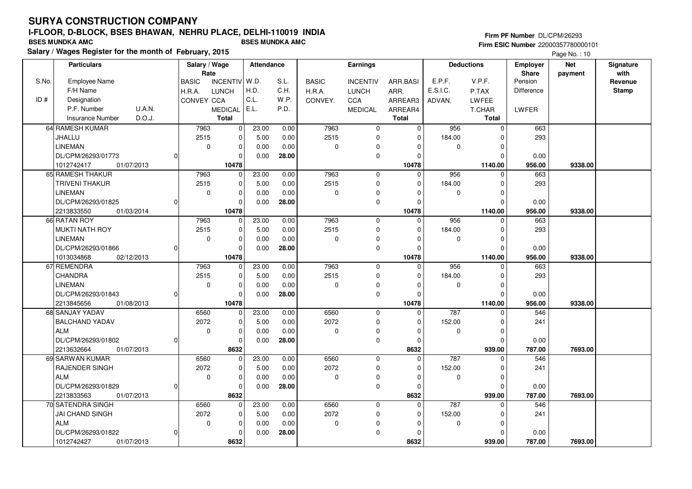**Salary / Wages Register for the month of February, 2015 BSES MUNDKA AMC BSES MUNDKA AMC**

#### **Firm PF Number** DL/CPM/26293 **Firm ESIC Number** 22000357780000101

|       | <b>Particulars</b>                |          | Salary / Wage<br>Rate |                | Attendance |       |              | <b>Earnings</b> |              |             | <b>Deductions</b> | <b>Employer</b><br><b>Share</b> | <b>Net</b> | Signature<br>with |
|-------|-----------------------------------|----------|-----------------------|----------------|------------|-------|--------------|-----------------|--------------|-------------|-------------------|---------------------------------|------------|-------------------|
| S.No. | <b>Employee Name</b>              |          | <b>BASIC</b>          | INCENTIV W.D.  |            | S.L.  | <b>BASIC</b> | <b>INCENTIV</b> | ARR.BASI     | E.P.F.      | V.P.F.            | Pension                         | payment    | Revenue           |
|       | F/H Name                          |          | H.R.A.                | <b>LUNCH</b>   | H.D.       | C.H.  | H.R.A.       | <b>LUNCH</b>    | ARR.         | E.S.I.C.    | P.TAX             | Difference                      |            | <b>Stamp</b>      |
| ID#   | Designation                       |          | CONVEY CCA            |                | C.L.       | W.P.  | CONVEY.      | CCA             | ARREAR3      | ADVAN.      | LWFEE             |                                 |            |                   |
|       | P.F. Number<br>U.A.N.             |          |                       | <b>MEDICAL</b> | E.L.       | P.D.  |              | <b>MEDICAL</b>  | ARREAR4      |             | T.CHAR            | LWFER                           |            |                   |
|       | <b>Insurance Number</b><br>D.O.J. |          |                       | <b>Total</b>   |            |       |              |                 | <b>Total</b> |             | <b>Total</b>      |                                 |            |                   |
|       | 64 RAMESH KUMAR                   |          | 7963                  | $\overline{0}$ | 23.00      | 0.00  | 7963         | $\mathbf 0$     | $\mathbf 0$  | 956         | $\mathbf 0$       | 663                             |            |                   |
|       | JHALLU                            |          | 2515                  | $\mathbf 0$    | 5.00       | 0.00  | 2515         | 0               | $\Omega$     | 184.00      | ŋ                 | 293                             |            |                   |
|       | <b>LINEMAN</b>                    |          | $\mathbf 0$           | $\mathbf 0$    | 0.00       | 0.00  | $\mathbf 0$  | $\Omega$        |              | $\mathbf 0$ | $\Omega$          |                                 |            |                   |
|       | DL/CPM/26293/01773                | $\Omega$ |                       | $\Omega$       | 0.00       | 28.00 |              | $\mathbf 0$     |              |             | $\Omega$          | 0.00                            |            |                   |
|       | 1012742417<br>01/07/2013          |          |                       | 10478          |            |       |              |                 | 10478        |             | 1140.00           | 956.00                          | 9338.00    |                   |
|       | 65 RAMESH THAKUR                  |          | 7963                  | $\overline{0}$ | 23.00      | 0.00  | 7963         | $\mathbf 0$     | $\Omega$     | 956         | $\Omega$          | 663                             |            |                   |
|       | TRIVENI THAKUR                    |          | 2515                  | $\mathbf 0$    | 5.00       | 0.00  | 2515         | $\mathbf 0$     |              | 184.00      | O                 | 293                             |            |                   |
|       | <b>LINEMAN</b>                    |          | $\mathbf 0$           | $\Omega$       | 0.00       | 0.00  | $\Omega$     | 0               |              | $\mathbf 0$ | n                 |                                 |            |                   |
|       | DL/CPM/26293/01825                | 0        |                       | $\Omega$       | 0.00       | 28.00 |              | $\mathbf 0$     |              |             | $\Omega$          | 0.00                            |            |                   |
|       | 2213833550<br>01/03/2014          |          |                       | 10478          |            |       |              |                 | 10478        |             | 1140.00           | 956.00                          | 9338.00    |                   |
|       | 66 RATAN ROY                      |          | 7963                  | $\mathbf 0$    | 23.00      | 0.00  | 7963         | $\mathbf 0$     | $\Omega$     | 956         | $\Omega$          | 663                             |            |                   |
|       | <b>MUKTI NATH ROY</b>             |          | 2515                  | $\mathbf 0$    | 5.00       | 0.00  | 2515         | 0               |              | 184.00      | n                 | 293                             |            |                   |
|       | <b>LINEMAN</b>                    |          | $\mathbf 0$           | $\mathbf 0$    | 0.00       | 0.00  | $\Omega$     | $\mathbf 0$     |              | $\mathbf 0$ | $\Omega$          |                                 |            |                   |
|       | DL/CPM/26293/01866                | 0        |                       | $\mathbf 0$    | 0.00       | 28.00 |              | $\mathbf 0$     |              |             | ŋ                 | 0.00                            |            |                   |
|       | 1013034868<br>02/12/2013          |          |                       | 10478          |            |       |              |                 | 10478        |             | 1140.00           | 956.00                          | 9338.00    |                   |
|       | 67 REMENDRA                       |          | 7963                  | $\mathbf 0$    | 23.00      | 0.00  | 7963         | $\mathbf 0$     | $\Omega$     | 956         |                   | 663                             |            |                   |
|       | <b>CHANDRA</b>                    |          | 2515                  | $\mathbf 0$    | 5.00       | 0.00  | 2515         | $\mathbf 0$     |              | 184.00      | $\Omega$          | 293                             |            |                   |
|       | <b>LINEMAN</b>                    |          | $\mathbf 0$           | $\Omega$       | 0.00       | 0.00  | $\mathbf 0$  | 0               |              | $\mathbf 0$ | ∩                 |                                 |            |                   |
|       | DL/CPM/26293/01843                | $\Omega$ |                       | $\Omega$       | 0.00       | 28.00 |              | $\mathbf 0$     |              |             | O                 | 0.00                            |            |                   |
|       | 2213845656<br>01/08/2013          |          |                       | 10478          |            |       |              |                 | 10478        |             | 1140.00           | 956.00                          | 9338.00    |                   |
|       | 68 SANJAY YADAV                   |          | 6560                  | $\mathbf 0$    | 23.00      | 0.00  | 6560         | $\mathbf 0$     | $\Omega$     | 787         | $\Omega$          | 546                             |            |                   |
|       | <b>BALCHAND YADAV</b>             |          | 2072                  | $\mathbf 0$    | 5.00       | 0.00  | 2072         | $\mathbf 0$     |              | 152.00      | $\Omega$          | 241                             |            |                   |
|       | <b>ALM</b>                        |          | $\mathbf 0$           | $\mathbf 0$    | 0.00       | 0.00  | $\mathbf 0$  | 0               |              | $\mathbf 0$ | $\Omega$          |                                 |            |                   |
|       | DL/CPM/26293/01802                | $\Omega$ |                       | $\mathbf 0$    | 0.00       | 28.00 |              | $\pmb{0}$       | $\Omega$     |             | $\Omega$          | 0.00                            |            |                   |
|       | 2213632664<br>01/07/2013          |          |                       | 8632           |            |       |              |                 | 8632         |             | 939.00            | 787.00                          | 7693.00    |                   |
|       | 69 SARWAN KUMAR                   |          | 6560                  | $\mathbf 0$    | 23.00      | 0.00  | 6560         | $\mathbf 0$     | $\Omega$     | 787         | $\Omega$          | 546                             |            |                   |
|       | RAJENDER SINGH                    |          | 2072                  | $\mathbf 0$    | 5.00       | 0.00  | 2072         | 0               | $\Omega$     | 152.00      | $\Omega$          | 241                             |            |                   |
|       | <b>ALM</b>                        |          | $\mathbf 0$           | $\mathbf 0$    | 0.00       | 0.00  | $\mathbf 0$  | 0               | $\Omega$     | $\mathbf 0$ | O                 |                                 |            |                   |
|       | DL/CPM/26293/01829                | $\Omega$ |                       | $\Omega$       | 0.00       | 28.00 |              | $\mathbf 0$     | $\Omega$     |             | $\Omega$          | 0.00                            |            |                   |
|       | 2213833563<br>01/07/2013          |          |                       | 8632           |            |       |              |                 | 8632         |             | 939.00            | 787.00                          | 7693.00    |                   |
|       | 70 SATENDRA SINGH                 |          | 6560                  | $\mathbf 0$    | 23.00      | 0.00  | 6560         | $\mathbf{0}$    | $\Omega$     | 787         | $\Omega$          | 546                             |            |                   |
|       | <b>JAI CHAND SINGH</b>            |          | 2072                  | $\mathbf 0$    | 5.00       | 0.00  | 2072         | $\mathbf 0$     | $\Omega$     | 152.00      | $\Omega$          | 241                             |            |                   |
|       | <b>ALM</b>                        |          | $\mathbf 0$           | $\mathbf 0$    | 0.00       | 0.00  | $\Omega$     | 0               |              | $\mathbf 0$ | U                 |                                 |            |                   |
|       | DL/CPM/26293/01822                | 0        |                       | $\Omega$       | 0.00       | 28.00 |              | $\pmb{0}$       |              |             | O                 | 0.00                            |            |                   |
|       | 1012742427<br>01/07/2013          |          |                       | 8632           |            |       |              |                 | 8632         |             | 939.00            | 787.00                          | 7693.00    |                   |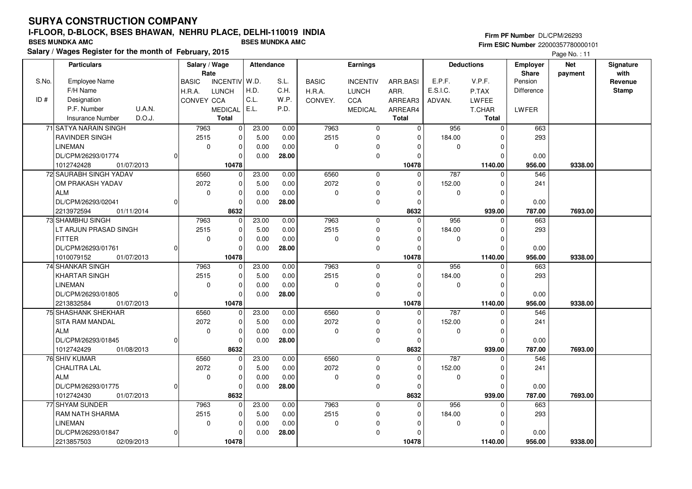**Salary / Wages Register for the month of February, 2015 BSES MUNDKA AMC BSES MUNDKA AMC**

#### **Firm PF Number** DL/CPM/26293 **Firm ESIC Number** 22000357780000101

|       | <b>Particulars</b>                |              | Salary / Wage<br>Rate |                 | Attendance |       |              | <b>Earnings</b> |              |             | <b>Deductions</b> | <b>Employer</b><br>Share | <b>Net</b> | Signature<br>with |
|-------|-----------------------------------|--------------|-----------------------|-----------------|------------|-------|--------------|-----------------|--------------|-------------|-------------------|--------------------------|------------|-------------------|
| S.No. | Employee Name                     | <b>BASIC</b> |                       | <b>INCENTIV</b> | W.D.       | S.L.  | <b>BASIC</b> | <b>INCENTIV</b> | ARR.BASI     | E.P.F.      | V.P.F.            | Pension                  | payment    | Revenue           |
|       | F/H Name                          | H.R.A.       |                       | <b>LUNCH</b>    | H.D.       | C.H.  | H.R.A.       | <b>LUNCH</b>    | ARR.         | E.S.I.C.    | P.TAX             | Difference               |            | <b>Stamp</b>      |
| ID#   | Designation                       |              | CONVEY CCA            |                 | C.L.       | W.P.  | CONVEY.      | CCA             | ARREAR3      | ADVAN.      | LWFEE             |                          |            |                   |
|       | <b>U.A.N.</b><br>P.F. Number      |              |                       | <b>MEDICAL</b>  | E.L.       | P.D.  |              | <b>MEDICAL</b>  | ARREAR4      |             | T.CHAR            | LWFER                    |            |                   |
|       | D.O.J.<br><b>Insurance Number</b> |              |                       | <b>Total</b>    |            |       |              |                 | <b>Total</b> |             | <b>Total</b>      |                          |            |                   |
|       | 71 SATYA NARAIN SINGH             |              | 7963                  | 0               | 23.00      | 0.00  | 7963         | $\mathbf 0$     | 0            | 956         | $\Omega$          | 663                      |            |                   |
|       | RAVINDER SINGH                    |              | 2515                  | $\mathbf 0$     | 5.00       | 0.00  | 2515         | $\mathbf 0$     | $\Omega$     | 184.00      | O                 | 293                      |            |                   |
|       | <b>LINEMAN</b>                    |              | $\mathbf 0$           | 0               | 0.00       | 0.00  | 0            | 0               | $\Omega$     | 0           | $\Omega$          |                          |            |                   |
|       | DL/CPM/26293/01774                | $\Omega$     |                       | 0               | 0.00       | 28.00 |              | $\mathbf 0$     | $\Omega$     |             | n                 | 0.00                     |            |                   |
|       | 1012742428<br>01/07/2013          |              |                       | 10478           |            |       |              |                 | 10478        |             | 1140.00           | 956.00                   | 9338.00    |                   |
|       | 72 SAURABH SINGH YADAV            |              | 6560                  | $\mathbf 0$     | 23.00      | 0.00  | 6560         | $\mathbf 0$     | $\Omega$     | 787         | $\Omega$          | 546                      |            |                   |
|       | OM PRAKASH YADAV                  |              | 2072                  | $\Omega$        | 5.00       | 0.00  | 2072         | $\mathbf 0$     | $\Omega$     | 152.00      | n                 | 241                      |            |                   |
|       | ALM                               |              | $\mathbf 0$           | $\mathbf 0$     | 0.00       | 0.00  | 0            | $\mathbf 0$     | $\Omega$     | $\mathbf 0$ | $\Omega$          |                          |            |                   |
|       | DL/CPM/26293/02041                | 0            |                       | $\Omega$        | 0.00       | 28.00 |              | $\mathbf 0$     | $\Omega$     |             | $\Omega$          | 0.00                     |            |                   |
|       | 2213972594<br>01/11/2014          |              |                       | 8632            |            |       |              |                 | 8632         |             | 939.00            | 787.00                   | 7693.00    |                   |
|       | 73 SHAMBHU SINGH                  |              | 7963                  | $\mathbf{0}$    | 23.00      | 0.00  | 7963         | $\mathbf 0$     | $\mathbf 0$  | 956         | <sup>0</sup>      | 663                      |            |                   |
|       | LT ARJUN PRASAD SINGH             |              | 2515                  | 0               | 5.00       | 0.00  | 2515         | $\mathbf 0$     | 0            | 184.00      | $\Omega$          | 293                      |            |                   |
|       | FITTER                            |              | $\mathbf 0$           | $\mathbf 0$     | 0.00       | 0.00  | 0            | 0               | $\Omega$     | 0           | O                 |                          |            |                   |
|       | DL/CPM/26293/01761                | 0            |                       | $\Omega$        | 0.00       | 28.00 |              | $\mathbf 0$     | $\Omega$     |             |                   | 0.00                     |            |                   |
|       | 1010079152<br>01/07/2013          |              |                       | 10478           |            |       |              |                 | 10478        |             | 1140.00           | 956.00                   | 9338.00    |                   |
|       | 74 SHANKAR SINGH                  |              | 7963                  | 0               | 23.00      | 0.00  | 7963         | $\mathbf 0$     | 0            | 956         | $\Omega$          | 663                      |            |                   |
|       | KHARTAR SINGH                     |              | 2515                  | $\mathbf 0$     | 5.00       | 0.00  | 2515         | $\mathbf 0$     | $\Omega$     | 184.00      | O                 | 293                      |            |                   |
|       | <b>LINEMAN</b>                    |              | $\mathbf 0$           | $\mathbf 0$     | 0.00       | 0.00  | 0            | 0               | $\Omega$     | 0           | $\Omega$          |                          |            |                   |
|       | DL/CPM/26293/01805                | $\Omega$     |                       | $\Omega$        | 0.00       | 28.00 |              | $\mathbf 0$     | $\Omega$     |             | C                 | 0.00                     |            |                   |
|       | 2213832584<br>01/07/2013          |              |                       | 10478           |            |       |              |                 | 10478        |             | 1140.00           | 956.00                   | 9338.00    |                   |
|       | 75 SHASHANK SHEKHAR               |              | 6560                  | 0               | 23.00      | 0.00  | 6560         | $\mathbf 0$     | 0            | 787         |                   | 546                      |            |                   |
|       | <b>SITA RAM MANDAL</b>            |              | 2072                  | $\Omega$        | 5.00       | 0.00  | 2072         | $\mathbf 0$     | $\Omega$     | 152.00      | $\Omega$          | 241                      |            |                   |
|       | <b>ALM</b>                        |              | 0                     | $\mathbf 0$     | 0.00       | 0.00  | 0            | $\mathbf 0$     | $\Omega$     | $\mathbf 0$ | $\Omega$          |                          |            |                   |
|       | DL/CPM/26293/01845                | 0            |                       | 0               | 0.00       | 28.00 |              | 0               | 0            |             | ŋ                 | 0.00                     |            |                   |
|       | 1012742429<br>01/08/2013          |              |                       | 8632            |            |       |              |                 | 8632         |             | 939.00            | 787.00                   | 7693.00    |                   |
|       | 76 SHIV KUMAR                     |              | 6560                  | $\mathbf 0$     | 23.00      | 0.00  | 6560         | $\mathbf 0$     | $\Omega$     | 787         |                   | 546                      |            |                   |
|       | <b>CHALITRA LAL</b>               |              | 2072                  | $\mathbf 0$     | 5.00       | 0.00  | 2072         | $\mathbf 0$     | $\Omega$     | 152.00      |                   | 241                      |            |                   |
|       | <b>ALM</b>                        |              | $\mathbf 0$           | $\mathbf 0$     | 0.00       | 0.00  | 0            | $\mathbf 0$     | $\Omega$     | 0           | n                 |                          |            |                   |
|       | DL/CPM/26293/01775                | 0l           |                       | 0               | 0.00       | 28.00 |              | $\mathbf 0$     | $\Omega$     |             | O                 | 0.00                     |            |                   |
|       | 1012742430<br>01/07/2013          |              |                       | 8632            |            |       |              |                 | 8632         |             | 939.00            | 787.00                   | 7693.00    |                   |
|       | 77 SHYAM SUNDER                   |              | 7963                  | $\mathbf 0$     | 23.00      | 0.00  | 7963         | $\mathbf 0$     | 0            | 956         | $\Omega$          | 663                      |            |                   |
|       | <b>RAM NATH SHARMA</b>            |              | 2515                  | $\mathbf 0$     | 5.00       | 0.00  | 2515         | $\mathbf 0$     | $\Omega$     | 184.00      | C                 | 293                      |            |                   |
|       | <b>LINEMAN</b>                    |              | $\mathbf 0$           | 0               | 0.00       | 0.00  | 0            | 0               | $\Omega$     | 0           | n                 |                          |            |                   |
|       | DL/CPM/26293/01847                | $\Omega$     |                       | $\Omega$        | 0.00       | 28.00 |              | $\mathbf 0$     |              |             |                   | 0.00                     |            |                   |
|       | 2213857503<br>02/09/2013          |              |                       | 10478           |            |       |              |                 | 10478        |             | 1140.00           | 956.00                   | 9338.00    |                   |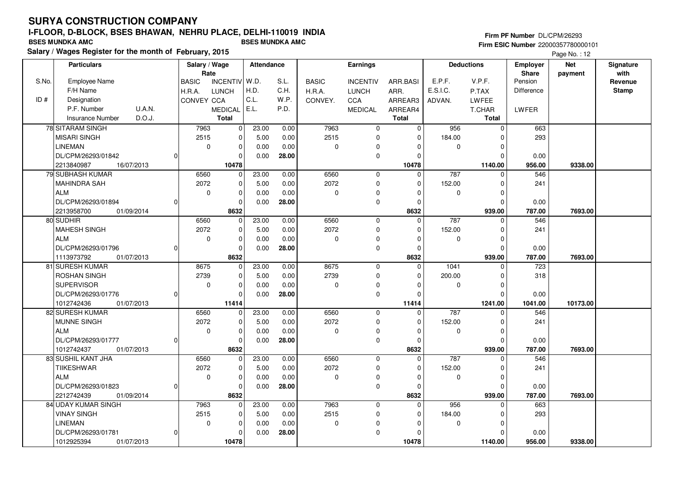**Salary / Wages Register for the month of February, 2015 BSES MUNDKA AMC BSES MUNDKA AMC**

#### **Firm PF Number** DL/CPM/26293 **Firm ESIC Number** 22000357780000101

|       | <b>Particulars</b>       |          | Salary / Wage        |                | Attendance |       |              | Earnings        |              |             | <b>Deductions</b> | <b>Employer</b>         | <b>Net</b> | Signature       |
|-------|--------------------------|----------|----------------------|----------------|------------|-------|--------------|-----------------|--------------|-------------|-------------------|-------------------------|------------|-----------------|
| S.No. | <b>Employee Name</b>     |          | Rate<br><b>BASIC</b> | INCENTIV W.D.  |            | S.L.  | <b>BASIC</b> | <b>INCENTIV</b> | ARR.BASI     | E.P.F.      | V.P.F.            | <b>Share</b><br>Pension | payment    | with<br>Revenue |
|       | F/H Name                 |          | H.R.A.               | <b>LUNCH</b>   | H.D.       | C.H.  | H.R.A.       | <b>LUNCH</b>    | ARR.         | E.S.I.C.    | P.TAX             | Difference              |            | <b>Stamp</b>    |
| ID#   | Designation              |          | CONVEY CCA           |                | C.L.       | W.P.  | CONVEY.      | CCA             | ARREAR3      | ADVAN.      | LWFEE             |                         |            |                 |
|       | P.F. Number<br>U.A.N.    |          |                      |                | E.L.       | P.D.  |              |                 |              |             |                   |                         |            |                 |
|       | D.O.J.                   |          |                      | <b>MEDICAL</b> |            |       |              | <b>MEDICAL</b>  | ARREAR4      |             | T.CHAR            | LWFER                   |            |                 |
|       | Insurance Number         |          |                      | <b>Total</b>   |            |       |              |                 | <b>Total</b> |             | <b>Total</b>      |                         |            |                 |
|       | 78 SITARAM SINGH         |          | 7963                 | $\overline{0}$ | 23.00      | 0.00  | 7963         | $\mathbf 0$     | $\mathbf 0$  | 956         | $\Omega$          | 663                     |            |                 |
|       | <b>MISARI SINGH</b>      |          | 2515                 | $\mathbf 0$    | 5.00       | 0.00  | 2515         | 0               | $\Omega$     | 184.00      | $\Omega$          | 293                     |            |                 |
|       | <b>LINEMAN</b>           |          | $\mathbf 0$          | $\mathbf 0$    | 0.00       | 0.00  | $\mathbf 0$  | 0               |              | $\mathbf 0$ | n                 |                         |            |                 |
|       | DL/CPM/26293/01842       | $\Omega$ |                      | $\Omega$       | 0.00       | 28.00 |              | $\mathbf 0$     |              |             | $\Omega$          | 0.00                    |            |                 |
|       | 2213840987<br>16/07/2013 |          |                      | 10478          |            |       |              |                 | 10478        |             | 1140.00           | 956.00                  | 9338.00    |                 |
|       | 79 SUBHASH KUMAR         |          | 6560                 | $\overline{0}$ | 23.00      | 0.00  | 6560         | $\mathbf 0$     | $\Omega$     | 787         | $\Omega$          | 546                     |            |                 |
|       | <b>MAHINDRA SAH</b>      |          | 2072                 | $\mathbf 0$    | 5.00       | 0.00  | 2072         | $\mathbf 0$     | $\Omega$     | 152.00      | $\Omega$          | 241                     |            |                 |
|       | <b>ALM</b>               |          | $\mathbf 0$          | $\mathbf 0$    | 0.00       | 0.00  | $\mathbf 0$  | 0               |              | $\mathbf 0$ | n                 |                         |            |                 |
|       | DL/CPM/26293/01894       | $\Omega$ |                      | $\Omega$       | 0.00       | 28.00 |              | $\mathbf 0$     |              |             | $\Omega$          | 0.00                    |            |                 |
|       | 01/09/2014<br>2213958700 |          |                      | 8632           |            |       |              |                 | 8632         |             | 939.00            | 787.00                  | 7693.00    |                 |
|       | 80 SUDHIR                |          | 6560                 | 0              | 23.00      | 0.00  | 6560         | $\mathbf 0$     | 0            | 787         | 0                 | 546                     |            |                 |
|       | <b>MAHESH SINGH</b>      |          | 2072                 | $\mathbf 0$    | 5.00       | 0.00  | 2072         | $\mathbf 0$     | $\Omega$     | 152.00      | $\Omega$          | 241                     |            |                 |
|       | <b>ALM</b>               |          | $\mathbf 0$          | $\mathbf 0$    | 0.00       | 0.00  | $\mathbf 0$  | 0               | $\Omega$     | $\mathbf 0$ | $\Omega$          |                         |            |                 |
|       | DL/CPM/26293/01796       | $\Omega$ |                      | $\Omega$       | 0.00       | 28.00 |              | $\mathbf{0}$    | $\Omega$     |             | $\Omega$          | 0.00                    |            |                 |
|       | 1113973792<br>01/07/2013 |          |                      | 8632           |            |       |              |                 | 8632         |             | 939.00            | 787.00                  | 7693.00    |                 |
|       | 81 SURESH KUMAR          |          | 8675                 | $\mathbf 0$    | 23.00      | 0.00  | 8675         | $\mathbf 0$     | $\mathbf 0$  | 1041        | $\Omega$          | 723                     |            |                 |
|       | <b>ROSHAN SINGH</b>      |          | 2739                 | $\mathbf 0$    | 5.00       | 0.00  | 2739         | $\mathbf 0$     |              | 200.00      | $\Omega$          | 318                     |            |                 |
|       | <b>SUPERVISOR</b>        |          | $\mathbf 0$          | $\mathbf 0$    | 0.00       | 0.00  | $\Omega$     | 0               |              | $\mathbf 0$ | O                 |                         |            |                 |
|       | DL/CPM/26293/01776       | 0        |                      | $\mathbf 0$    | 0.00       | 28.00 |              | $\mathbf 0$     |              |             | $\Omega$          | 0.00                    |            |                 |
|       | 1012742436<br>01/07/2013 |          |                      | 11414          |            |       |              |                 | 11414        |             | 1241.00           | 1041.00                 | 10173.00   |                 |
|       | 82 SURESH KUMAR          |          | 6560                 | $\mathbf 0$    | 23.00      | 0.00  | 6560         | $\mathbf 0$     | $\Omega$     | 787         | $\Omega$          | 546                     |            |                 |
|       | MUNNE SINGH              |          | 2072                 | $\mathbf 0$    | 5.00       | 0.00  | 2072         | $\Omega$        |              | 152.00      | $\Omega$          | 241                     |            |                 |
|       | <b>ALM</b>               |          | $\mathbf 0$          | $\mathbf 0$    | 0.00       | 0.00  | $\mathbf 0$  | 0               | $\Omega$     | $\mathbf 0$ | $\Omega$          |                         |            |                 |
|       | DL/CPM/26293/01777       | $\Omega$ |                      | $\mathbf 0$    | 0.00       | 28.00 |              | 0               | $\Omega$     |             | $\Omega$          | 0.00                    |            |                 |
|       | 1012742437<br>01/07/2013 |          |                      | 8632           |            |       |              |                 | 8632         |             | 939.00            | 787.00                  | 7693.00    |                 |
|       | 83 SUSHIL KANT JHA       |          | 6560                 | $\mathbf 0$    | 23.00      | 0.00  | 6560         | $\mathbf 0$     | $\Omega$     | 787         | $\Omega$          | 546                     |            |                 |
|       | TIIKESHWAR               |          | 2072                 | $\mathbf 0$    | 5.00       | 0.00  | 2072         | $\mathbf 0$     | $\Omega$     | 152.00      | O                 | 241                     |            |                 |
|       | <b>ALM</b>               |          | $\mathbf 0$          | $\mathbf 0$    | 0.00       | 0.00  | $\mathbf 0$  | 0               | $\Omega$     | $\mathbf 0$ | $\Omega$          |                         |            |                 |
|       | DL/CPM/26293/01823       | $\Omega$ |                      | $\mathbf 0$    | 0.00       | 28.00 |              | $\pmb{0}$       |              |             | $\Omega$          | 0.00                    |            |                 |
|       | 2212742439<br>01/09/2014 |          |                      | 8632           |            |       |              |                 | 8632         |             | 939.00            | 787.00                  | 7693.00    |                 |
|       | 84 UDAY KUMAR SINGH      |          | 7963                 | $\mathbf 0$    | 23.00      | 0.00  | 7963         | $\mathbf 0$     | $\Omega$     | 956         | $\Omega$          | 663                     |            |                 |
|       | <b>VINAY SINGH</b>       |          | 2515                 | $\mathbf 0$    | 5.00       | 0.00  | 2515         | 0               | $\Omega$     | 184.00      | $\Omega$          | 293                     |            |                 |
|       | <b>LINEMAN</b>           |          | $\mathbf 0$          | $\mathbf 0$    | 0.00       | 0.00  | $\mathbf 0$  | 0               |              | $\mathbf 0$ | U                 |                         |            |                 |
|       | DL/CPM/26293/01781       | 0        |                      | $\Omega$       | 0.00       | 28.00 |              | $\pmb{0}$       |              |             |                   | 0.00                    |            |                 |
|       |                          |          |                      | 10478          |            |       |              |                 | 10478        |             | 1140.00           | 956.00                  | 9338.00    |                 |
|       | 1012925394<br>01/07/2013 |          |                      |                |            |       |              |                 |              |             |                   |                         |            |                 |